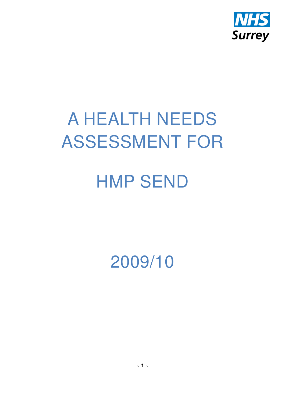

# A HEALTH NEEDS ASSESSMENT FOR

# HMP SEND

2009/10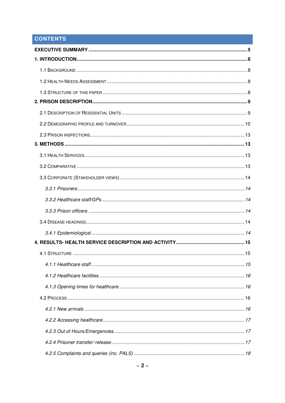# **CONTENTS**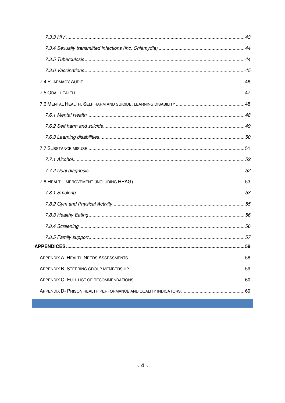| <b>APPFNDICFS</b> | 58 |
|-------------------|----|
|                   |    |
|                   |    |
|                   |    |
|                   |    |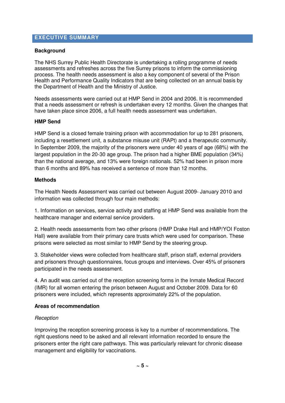# **EXECUTIVE SUMMARY**

### **Background**

The NHS Surrey Public Health Directorate is undertaking a rolling programme of needs assessments and refreshes across the five Surrey prisons to inform the commissioning process. The health needs assessment is also a key component of several of the Prison Health and Performance Quality Indicators that are being collected on an annual basis by the Department of Health and the Ministry of Justice.

Needs assessments were carried out at HMP Send in 2004 and 2006. It is recommended that a needs assessment or refresh is undertaken every 12 months. Given the changes that have taken place since 2006, a full health needs assessment was undertaken.

#### **HMP Send**

HMP Send is a closed female training prison with accommodation for up to 281 prisoners, including a resettlement unit, a substance misuse unit (RAPt) and a therapeutic community. In September 2009, the majority of the prisoners were under 40 years of age (68%) with the largest population in the 20-30 age group. The prison had a higher BME population (34%) than the national average, and 13% were foreign nationals. 52% had been in prison more than 6 months and 89% has received a sentence of more than 12 months.

#### **Methods**

The Health Needs Assessment was carried out between August 2009- January 2010 and information was collected through four main methods:

1. Information on services, service activity and staffing at HMP Send was available from the healthcare manager and external service providers.

2. Health needs assessments from two other prisons (HMP Drake Hall and HMP/YOI Foston Hall) were available from their primary care trusts which were used for comparison. These prisons were selected as most similar to HMP Send by the steering group.

3. Stakeholder views were collected from healthcare staff, prison staff, external providers and prisoners through questionnaires, focus groups and interviews. Over 45% of prisoners participated in the needs assessment.

4. An audit was carried out of the reception screening forms in the Inmate Medical Record (IMR) for all women entering the prison between August and October 2009. Data for 60 prisoners were included, which represents approximately 22% of the population.

#### **Areas of recommendation**

#### **Reception**

Improving the reception screening process is key to a number of recommendations. The right questions need to be asked and all relevant information recorded to ensure the prisoners enter the right care pathways. This was particularly relevant for chronic disease management and eligibility for vaccinations.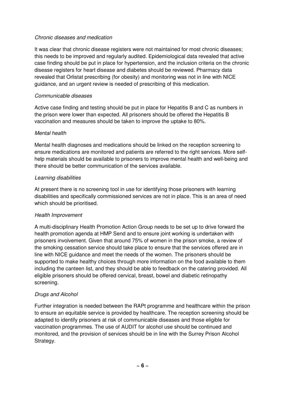### Chronic diseases and medication

It was clear that chronic disease registers were not maintained for most chronic diseases; this needs to be improved and regularly audited. Epidemiological data revealed that active case finding should be put in place for hypertension, and the inclusion criteria on the chronic disease registers for heart disease and diabetes should be reviewed. Pharmacy data revealed that Orlistat prescribing (for obesity) and monitoring was not in line with NICE guidance, and an urgent review is needed of prescribing of this medication.

## Communicable diseases

Active case finding and testing should be put in place for Hepatitis B and C as numbers in the prison were lower than expected. All prisoners should be offered the Hepatitis B vaccination and measures should be taken to improve the uptake to 80%.

## Mental health

Mental health diagnoses and medications should be linked on the reception screening to ensure medications are monitored and patients are referred to the right services. More selfhelp materials should be available to prisoners to improve mental health and well-being and there should be better communication of the services available.

## Learning disabilities

At present there is no screening tool in use for identifying those prisoners with learning disabilities and specifically commissioned services are not in place. This is an area of need which should be prioritised.

## Health Improvement

A multi-disciplinary Health Promotion Action Group needs to be set up to drive forward the health promotion agenda at HMP Send and to ensure joint working is undertaken with prisoners involvement. Given that around 75% of women in the prison smoke, a review of the smoking cessation service should take place to ensure that the services offered are in line with NICE guidance and meet the needs of the women. The prisoners should be supported to make healthy choices through more information on the food available to them including the canteen list, and they should be able to feedback on the catering provided. All eligible prisoners should be offered cervical, breast, bowel and diabetic retinopathy screening.

## Drugs and Alcohol

Further integration is needed between the RAPt programme and healthcare within the prison to ensure an equitable service is provided by healthcare. The reception screening should be adapted to identify prisoners at risk of communicable diseases and those eligible for vaccination programmes. The use of AUDIT for alcohol use should be continued and monitored, and the provision of services should be in line with the Surrey Prison Alcohol Strategy.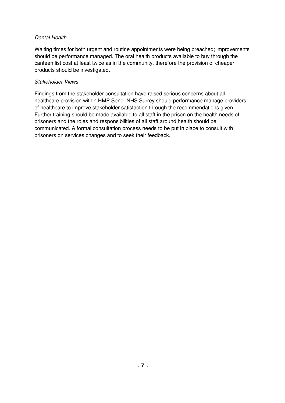## Dental Health

Waiting times for both urgent and routine appointments were being breached; improvements should be performance managed. The oral health products available to buy through the canteen list cost at least twice as in the community, therefore the provision of cheaper products should be investigated.

#### Stakeholder Views

Findings from the stakeholder consultation have raised serious concerns about all healthcare provision within HMP Send. NHS Surrey should performance manage providers of healthcare to improve stakeholder satisfaction through the recommendations given. Further training should be made available to all staff in the prison on the health needs of prisoners and the roles and responsibilities of all staff around health should be communicated. A formal consultation process needs to be put in place to consult with prisoners on services changes and to seek their feedback.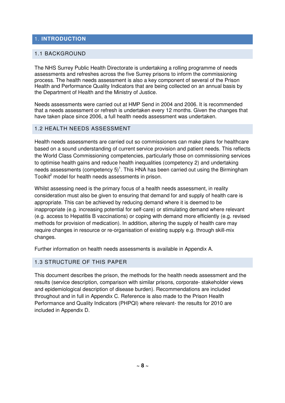# 1. **INTRODUCTION**

## 1.1 BACKGROUND

The NHS Surrey Public Health Directorate is undertaking a rolling programme of needs assessments and refreshes across the five Surrey prisons to inform the commissioning process. The health needs assessment is also a key component of several of the Prison Health and Performance Quality Indicators that are being collected on an annual basis by the Department of Health and the Ministry of Justice.

Needs assessments were carried out at HMP Send in 2004 and 2006. It is recommended that a needs assessment or refresh is undertaken every 12 months. Given the changes that have taken place since 2006, a full health needs assessment was undertaken.

# 1.2 HEALTH NEEDS ASSESSMENT

Health needs assessments are carried out so commissioners can make plans for healthcare based on a sound understanding of current service provision and patient needs. This reflects the World Class Commissioning competencies, particularly those on commissioning services to optimise health gains and reduce health inequalities (competency 2) and undertaking needs assessments (competency 5)<sup>1</sup>. This HNA has been carried out using the Birmingham Toolkit<sup>2</sup> model for health needs assessments in prison.

Whilst assessing need is the primary focus of a health needs assessment, in reality consideration must also be given to ensuring that demand for and supply of health care is appropriate. This can be achieved by reducing demand where it is deemed to be inappropriate (e.g. increasing potential for self-care) or stimulating demand where relevant (e.g. access to Hepatitis B vaccinations) or coping with demand more efficiently (e.g. revised methods for provision of medication). In addition, altering the supply of health care may require changes in resource or re-organisation of existing supply e.g. through skill-mix changes.

Further information on health needs assessments is available in Appendix A.

## 1.3 STRUCTURE OF THIS PAPER

This document describes the prison, the methods for the health needs assessment and the results (service description, comparison with similar prisons, corporate- stakeholder views and epidemiological description of disease burden). Recommendations are included throughout and in full in Appendix C. Reference is also made to the Prison Health Performance and Quality Indicators (PHPQI) where relevant- the results for 2010 are included in Appendix D.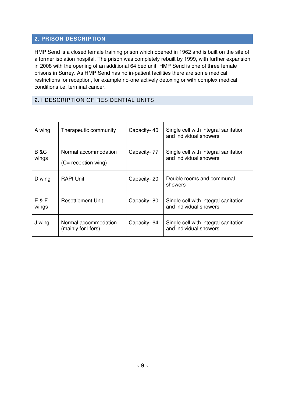# **2. PRISON DESCRIPTION**

HMP Send is a closed female training prison which opened in 1962 and is built on the site of a former isolation hospital. The prison was completely rebuilt by 1999, with further expansion in 2008 with the opening of an additional 64 bed unit. HMP Send is one of three female prisons in Surrey. As HMP Send has no in-patient facilities there are some medical restrictions for reception, for example no-one actively detoxing or with complex medical conditions i.e. terminal cancer.

## 2.1 DESCRIPTION OF RESIDENTIAL UNITS

| A wing                   | Therapeutic community                                 | Capacity-40 | Single cell with integral sanitation<br>and individual showers |
|--------------------------|-------------------------------------------------------|-------------|----------------------------------------------------------------|
| <b>B &amp;C</b><br>wings | Normal accommodation<br>$(C = \text{reception wing})$ | Capacity-77 | Single cell with integral sanitation<br>and individual showers |
| D wing                   | <b>RAPt Unit</b>                                      | Capacity-20 | Double rooms and communal<br>showers                           |
| E & F<br>wings           | Resettlement Unit                                     | Capacity-80 | Single cell with integral sanitation<br>and individual showers |
| J wing                   | Normal accommodation<br>(mainly for lifers)           | Capacity-64 | Single cell with integral sanitation<br>and individual showers |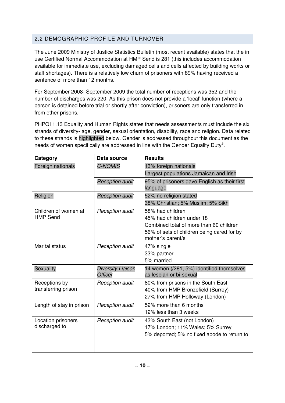# 2.2 DEMOGRAPHIC PROFILE AND TURNOVER

The June 2009 Ministry of Justice Statistics Bulletin (most recent available) states that the in use Certified Normal Accommodation at HMP Send is 281 (this includes accommodation available for immediate use, excluding damaged cells and cells affected by building works or staff shortages). There is a relatively low churn of prisoners with 89% having received a sentence of more than 12 months.

For September 2008- September 2009 the total number of receptions was 352 and the number of discharges was 220. As this prison does not provide a 'local' function (where a person is detained before trial or shortly after conviction), prisoners are only transferred in from other prisons.

PHPQI 1.13 Equality and Human Rights states that needs assessments must include the six strands of diversity- age, gender, sexual orientation, disability, race and religion. Data related to these strands is highlighted below. Gender is addressed throughout this document as the needs of women specifically are addressed in line with the Gender Equality Duty<sup>3</sup>.

| Category                                | Data source                                | <b>Results</b>                                                                                                                                              |
|-----------------------------------------|--------------------------------------------|-------------------------------------------------------------------------------------------------------------------------------------------------------------|
| Foreign nationals                       | <b>C-NOMIS</b>                             | 13% foreign nationals<br>Largest populations Jamaican and Irish                                                                                             |
|                                         | <b>Reception audit</b>                     | 95% of prisoners gave English as their first<br>language                                                                                                    |
| Religion                                | <b>Reception audit</b>                     | 52% no religion stated<br>38% Christian; 5% Muslim; 5% Sikh                                                                                                 |
| Children of women at<br><b>HMP Send</b> | <b>Reception audit</b>                     | 58% had children<br>45% had children under 18<br>Combined total of more than 60 children<br>56% of sets of children being cared for by<br>mother's parent/s |
| <b>Marital status</b>                   | <b>Reception audit</b>                     | 47% single<br>33% partner<br>5% married                                                                                                                     |
| Sexuality                               | <b>Diversity Liaison</b><br><b>Officer</b> | 14 women (/281, 5%) identified themselves<br>as lesbian or bi-sexual                                                                                        |
| Receptions by<br>transferring prison    | <b>Reception audit</b>                     | 80% from prisons in the South East<br>40% from HMP Bronzefield (Surrey)<br>27% from HMP Holloway (London)                                                   |
| Length of stay in prison                | Reception audit                            | 52% more than 6 months<br>12% less than 3 weeks                                                                                                             |
| Location prisoners<br>discharged to     | <b>Reception audit</b>                     | 43% South East (not London)<br>17% London; 11% Wales; 5% Surrey<br>5% deported; 5% no fixed abode to return to                                              |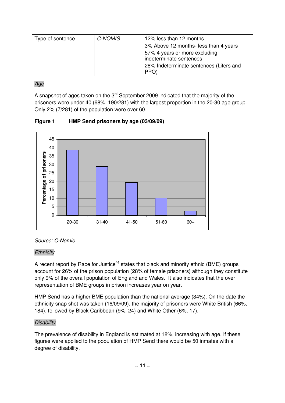| Type of sentence | C-NOMIS | 12% less than 12 months                         |
|------------------|---------|-------------------------------------------------|
|                  |         | 3% Above 12 months- less than 4 years           |
|                  |         | 57% 4 years or more excluding                   |
|                  |         | indeterminate sentences                         |
|                  |         | 28% Indeterminate sentences (Lifers and<br>PPO) |

# Age

A snapshot of ages taken on the  $3<sup>rd</sup>$  September 2009 indicated that the majority of the prisoners were under 40 (68%, 190/281) with the largest proportion in the 20-30 age group. Only 2% (7/281) of the population were over 60.

**Figure 1 HMP Send prisoners by age (03/09/09)** 





# **Ethnicity**

A recent report by Race for Justice<sup>44</sup> states that black and minority ethnic (BME) groups account for 26% of the prison population (28% of female prisoners) although they constitute only 9% of the overall population of England and Wales. It also indicates that the over representation of BME groups in prison increases year on year.

HMP Send has a higher BME population than the national average (34%). On the date the ethnicity snap shot was taken (16/09/09), the majority of prisoners were White British (66%, 184), followed by Black Caribbean (9%, 24) and White Other (6%, 17).

# **Disability**

The prevalence of disability in England is estimated at 18%, increasing with age. If these figures were applied to the population of HMP Send there would be 50 inmates with a degree of disability.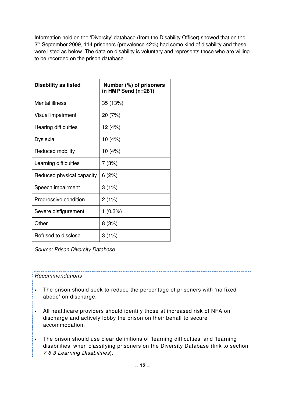Information held on the 'Diversity' database (from the Disability Officer) showed that on the 3<sup>rd</sup> September 2009, 114 prisoners (prevalence 42%) had some kind of disability and these were listed as below. The data on disability is voluntary and represents those who are willing to be recorded on the prison database.

| <b>Disability as listed</b> | Number (%) of prisoners<br>in HMP Send (n=281) |
|-----------------------------|------------------------------------------------|
| <b>Mental illness</b>       | 35 (13%)                                       |
| Visual impairment           | 20 (7%)                                        |
| <b>Hearing difficulties</b> | 12 (4%)                                        |
| Dyslexia                    | 10 (4%)                                        |
| Reduced mobility            | 10 (4%)                                        |
| Learning difficulties       | 7(3%)                                          |
| Reduced physical capacity   | 6(2%)                                          |
| Speech impairment           | 3(1%)                                          |
| Progressive condition       | 2(1%)                                          |
| Severe disfigurement        | 1(0.3%)                                        |
| Other                       | 8(3%)                                          |
| Refused to disclose         | 3(1%)                                          |

Source: Prison Diversity Database

## Recommendations

- The prison should seek to reduce the percentage of prisoners with 'no fixed abode' on discharge.
- All healthcare providers should identify those at increased risk of NFA on discharge and actively lobby the prison on their behalf to secure accommodation.
- The prison should use clear definitions of 'learning difficulties' and 'learning disabilities' when classifying prisoners on the Diversity Database (link to section 7.6.3 Learning Disabilities).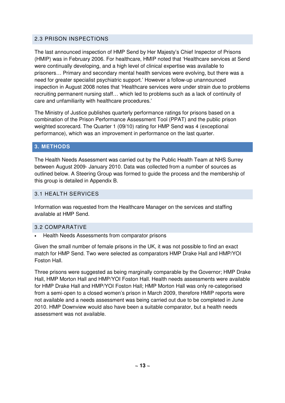# 2.3 PRISON INSPECTIONS

The last announced inspection of HMP Send by Her Majesty's Chief Inspector of Prisons (HMIP) was in February 2006. For healthcare, HMIP noted that 'Healthcare services at Send were continually developing, and a high level of clinical expertise was available to prisoners… Primary and secondary mental health services were evolving, but there was a need for greater specialist psychiatric support.' However a follow-up unannounced inspection in August 2008 notes that 'Healthcare services were under strain due to problems recruiting permanent nursing staff… which led to problems such as a lack of continuity of care and unfamiliarity with healthcare procedures.'

The Ministry of Justice publishes quarterly performance ratings for prisons based on a combination of the Prison Performance Assessment Tool (PPAT) and the public prison weighted scorecard. The Quarter 1 (09/10) rating for HMP Send was 4 (exceptional performance), which was an improvement in performance on the last quarter.

# **3. METHODS**

The Health Needs Assessment was carried out by the Public Health Team at NHS Surrey between August 2009- January 2010. Data was collected from a number of sources as outlined below. A Steering Group was formed to guide the process and the membership of this group is detailed in Appendix B.

# 3.1 HEALTH SERVICES

Information was requested from the Healthcare Manager on the services and staffing available at HMP Send.

# 3.2 COMPARATIVE

• Health Needs Assessments from comparator prisons

Given the small number of female prisons in the UK, it was not possible to find an exact match for HMP Send. Two were selected as comparators HMP Drake Hall and HMP/YOI Foston Hall.

Three prisons were suggested as being marginally comparable by the Governor; HMP Drake Hall, HMP Morton Hall and HMP/YOI Foston Hall. Health needs assessments were available for HMP Drake Hall and HMP/YOI Foston Hall; HMP Morton Hall was only re-categorised from a semi-open to a closed women's prison in March 2009, therefore HMIP reports were not available and a needs assessment was being carried out due to be completed in June 2010. HMP Downview would also have been a suitable comparator, but a health needs assessment was not available.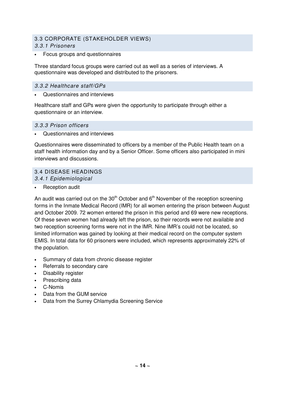# 3.3 CORPORATE (STAKEHOLDER VIEWS)

## 3.3.1 Prisoners

• Focus groups and questionnaires

Three standard focus groups were carried out as well as a series of interviews. A questionnaire was developed and distributed to the prisoners.

## 3.3.2 Healthcare staff/GPs

• Questionnaires and interviews

Healthcare staff and GPs were given the opportunity to participate through either a questionnaire or an interview.

### 3.3.3 Prison officers

• Questionnaires and interviews

Questionnaires were disseminated to officers by a member of the Public Health team on a staff health information day and by a Senior Officer. Some officers also participated in mini interviews and discussions.

## 3.4 DISEASE HEADINGS

3.4.1 Epidemiological

Reception audit

An audit was carried out on the  $30<sup>th</sup>$  October and  $6<sup>th</sup>$  November of the reception screening forms in the Inmate Medical Record (IMR) for all women entering the prison between August and October 2009. 72 women entered the prison in this period and 69 were new receptions. Of these seven women had already left the prison, so their records were not available and two reception screening forms were not in the IMR. Nine IMR's could not be located, so limited information was gained by looking at their medical record on the computer system EMIS. In total data for 60 prisoners were included, which represents approximately 22% of the population.

- Summary of data from chronic disease register
- Referrals to secondary care
- Disability register
- Prescribing data
- C-Nomis
- Data from the GUM service
- Data from the Surrey Chlamydia Screening Service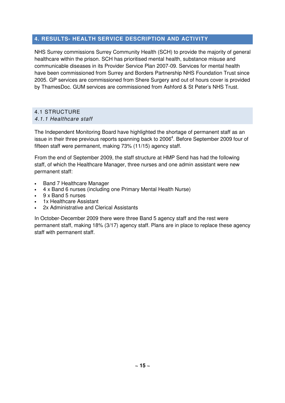# **4. RESULTS- HEALTH SERVICE DESCRIPTION AND ACTIVITY**

NHS Surrey commissions Surrey Community Health (SCH) to provide the majority of general healthcare within the prison. SCH has prioritised mental health, substance misuse and communicable diseases in its Provider Service Plan 2007-09. Services for mental health have been commissioned from Surrey and Borders Partnership NHS Foundation Trust since 2005. GP services are commissioned from Shere Surgery and out of hours cover is provided by ThamesDoc. GUM services are commissioned from Ashford & St Peter's NHS Trust.

## 4.1 STRUCTURE 4.1.1 Healthcare staff

The Independent Monitoring Board have highlighted the shortage of permanent staff as an issue in their three previous reports spanning back to 2006<sup>4</sup>. Before September 2009 four of fifteen staff were permanent, making 73% (11/15) agency staff.

From the end of September 2009, the staff structure at HMP Send has had the following staff, of which the Healthcare Manager, three nurses and one admin assistant were new permanent staff:

- Band 7 Healthcare Manager
- 4 x Band 6 nurses (including one Primary Mental Health Nurse)
- 9 x Band 5 nurses
- 1x Healthcare Assistant
- 2x Administrative and Clerical Assistants

In October-December 2009 there were three Band 5 agency staff and the rest were permanent staff, making 18% (3/17) agency staff. Plans are in place to replace these agency staff with permanent staff.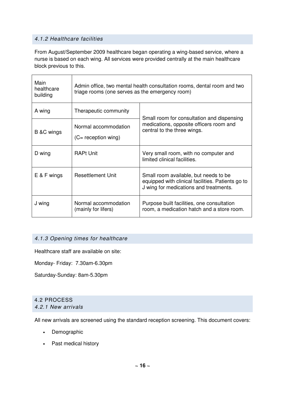## 4.1.2 Healthcare facilities

From August/September 2009 healthcare began operating a wing-based service, where a nurse is based on each wing. All services were provided centrally at the main healthcare block previous to this.

| Main<br>healthcare<br>building | Admin office, two mental health consultation rooms, dental room and two<br>triage rooms (one serves as the emergency room) |                                                                                                                                      |  |
|--------------------------------|----------------------------------------------------------------------------------------------------------------------------|--------------------------------------------------------------------------------------------------------------------------------------|--|
| A wing                         | Therapeutic community                                                                                                      | Small room for consultation and dispensing                                                                                           |  |
| B &C wings                     | Normal accommodation<br>$(C = \text{reception wing})$                                                                      | medications, opposite officers room and<br>central to the three wings.                                                               |  |
| D wing                         | <b>RAPt Unit</b>                                                                                                           | Very small room, with no computer and<br>limited clinical facilities.                                                                |  |
| $E$ & F wings                  | <b>Resettlement Unit</b>                                                                                                   | Small room available, but needs to be<br>equipped with clinical facilities. Patients go to<br>J wing for medications and treatments. |  |
| J wing                         | Normal accommodation<br>(mainly for lifers)                                                                                | Purpose built facilities, one consultation<br>room, a medication hatch and a store room.                                             |  |

## 4.1.3 Opening times for healthcare

Healthcare staff are available on site:

Monday- Friday: 7.30am-6.30pm

Saturday-Sunday: 8am-5.30pm

#### 4.2 PROCESS 4.2.1 New arrivals

All new arrivals are screened using the standard reception screening. This document covers:

- Demographic
- Past medical history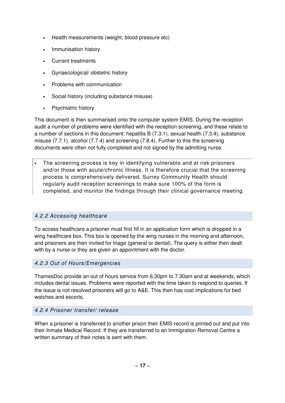- Health measurements (weight, blood pressure etc)
- Immunisation history
- Current treatments
- Gynaecological/ obstetric history
- Problems with communication
- Social history (including substance misuse)
- Psychiatric history

This document is then summarised onto the computer system EMIS. During the reception audit a number of problems were identified with the reception screening, and these relate to a number of sections in this document: hepatitis B (7.3.1), sexual health (7.3.4), substance misuse (7.7.1), alcohol (7.7.4) and screening (7.8.4). Further to this the screening documents were often not fully completed and not signed by the admitting nurse.

• The screening process is key in identifying vulnerable and at risk prisoners and/or those with acute/chronic illness. It is therefore crucial that the screening process is comprehensively delivered. Surrey Community Health should regularly audit reception screenings to make sure 100% of the form is completed, and monitor the findings through their clinical governance meeting.

# 4.2.2 Accessing healthcare

To access healthcare a prisoner must first fill in an application form which is dropped in a wing healthcare box. This box is opened by the wing nurses in the morning and afternoon, and prisoners are then invited for triage (general or dental). The query is either then dealt with by a nurse or they are given an appointment with the doctor.

## 4.2.3 Out of Hours/Emergencies

ThamesDoc provide an out of hours service from 6.30pm to 7.30am and at weekends, which includes dental issues. Problems were reported with the time taken to respond to queries. If the issue is not resolved prisoners will go to A&E. This then has cost implications for bed watches and escorts.

## 4.2.4 Prisoner transfer/ release

When a prisoner is transferred to another prison their EMIS record is printed out and put into their Inmate Medical Record. If they are transferred to an Immigration Removal Centre a written summary of their notes is sent with them.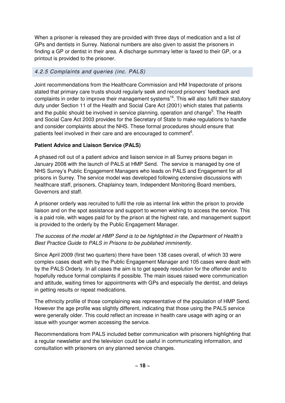When a prisoner is released they are provided with three days of medication and a list of GPs and dentists in Surrey. National numbers are also given to assist the prisoners in finding a GP or dentist in their area. A discharge summary letter is faxed to their GP, or a printout is provided to the prisoner.

# 4.2.5 Complaints and queries (inc. PALS)

Joint recommendations from the Healthcare Commission and HM Inspectorate of prisons stated that primary care trusts should regularly seek and record prisoners' feedback and complaints in order to improve their management systems<sup>16</sup>. This will also fulfil their statutory duty under Section 11 of the Health and Social Care Act (2001) which states that patients and the public should be involved in service planning, operation and change<sup>5</sup>. The Health and Social Care Act 2003 provides for the Secretary of State to make regulations to handle and consider complaints about the NHS. These formal procedures should ensure that patients feel involved in their care and are encouraged to comment<sup>6</sup>.

# **Patient Advice and Liaison Service (PALS)**

A phased roll out of a patient advice and liaison service in all Surrey prisons began in January 2008 with the launch of PALS at HMP Send. The service is managed by one of NHS Surrey's Public Engagement Managers who leads on PALS and Engagement for all prisons in Surrey. The service model was developed following extensive discussions with healthcare staff, prisoners, Chaplaincy team, Independent Monitoring Board members, Governors and staff.

A prisoner orderly was recruited to fulfil the role as internal link within the prison to provide liaison and on the spot assistance and support to women wishing to access the service. This is a paid role, with wages paid for by the prison at the highest rate, and management support is provided to the orderly by the Public Engagement Manager.

# The success of the model at HMP Send is to be highlighted in the Department of Health's Best Practice Guide to PALS in Prisons to be published imminently.

Since April 2009 (first two quarters) there have been 138 cases overall, of which 33 were complex cases dealt with by the Public Engagement Manager and 105 cases were dealt with by the PALS Orderly. In all cases the aim is to get speedy resolution for the offender and to hopefully reduce formal complaints if possible. The main issues raised were communication and attitude, waiting times for appointments with GPs and especially the dentist, and delays in getting results or repeat medications.

The ethnicity profile of those complaining was representative of the population of HMP Send. However the age profile was slightly different, indicating that those using the PALS service were generally older. This could reflect an increase in health care usage with aging or an issue with younger women accessing the service.

Recommendations from PALS included better communication with prisoners highlighting that a regular newsletter and the television could be useful in communicating information, and consultation with prisoners on any planned service changes.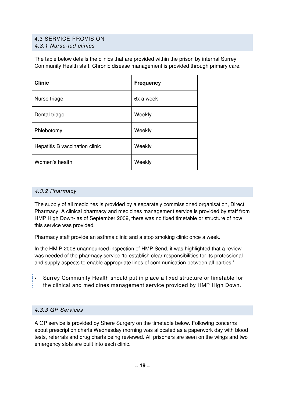# 4.3 SERVICE PROVISION

4.3.1 Nurse-led clinics

The table below details the clinics that are provided within the prison by internal Surrey Community Health staff. Chronic disease management is provided through primary care.

| <b>Clinic</b>                  | <b>Frequency</b> |
|--------------------------------|------------------|
| Nurse triage                   | 6x a week        |
| Dental triage                  | Weekly           |
| Phlebotomy                     | Weekly           |
| Hepatitis B vaccination clinic | Weekly           |
| Women's health                 | Weekly           |

## 4.3.2 Pharmacy

The supply of all medicines is provided by a separately commissioned organisation, Direct Pharmacy. A clinical pharmacy and medicines management service is provided by staff from HMP High Down- as of September 2009, there was no fixed timetable or structure of how this service was provided.

Pharmacy staff provide an asthma clinic and a stop smoking clinic once a week.

In the HMIP 2008 unannounced inspection of HMP Send, it was highlighted that a review was needed of the pharmacy service 'to establish clear responsibilities for its professional and supply aspects to enable appropriate lines of communication between all parties.'

• Surrey Community Health should put in place a fixed structure or timetable for the clinical and medicines management service provided by HMP High Down.

# 4.3.3 GP Services

A GP service is provided by Shere Surgery on the timetable below. Following concerns about prescription charts Wednesday morning was allocated as a paperwork day with blood tests, referrals and drug charts being reviewed. All prisoners are seen on the wings and two emergency slots are built into each clinic.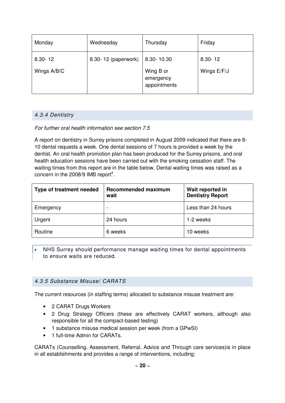| Monday                     | Wednesday           | Thursday                                             | Friday                     |
|----------------------------|---------------------|------------------------------------------------------|----------------------------|
| $8.30 - 12$<br>Wings A/B/C | 8.30-12 (paperwork) | 8.30-10.30<br>Wing B or<br>emergency<br>appointments | $8.30 - 12$<br>Wings E/F/J |

# 4.3.4 Dentistry

# For further oral health information see section 7.5

A report on dentistry in Surrey prisons completed in August 2009 indicated that there are 8- 10 dental requests a week. One dental sessions of 7 hours is provided a week by the dentist. An oral health promotion plan has been produced for the Surrey prisons, and oral health education sessions have been carried out with the smoking cessation staff. The waiting times from this report are in the table below. Dental waiting times was raised as a concern in the 2008/9 IMB report<sup>4</sup>.

| Type of treatment needed | <b>Recommended maximum</b><br>wait | Wait reported in<br><b>Dentistry Report</b> |
|--------------------------|------------------------------------|---------------------------------------------|
| Emergency                |                                    | Less than 24 hours                          |
| Urgent                   | 24 hours                           | 1-2 weeks                                   |
| Routine                  | 6 weeks                            | 10 weeks                                    |

• NHS Surrey should performance manage waiting times for dental appointments to ensure waits are reduced.

# 4.3.5 Substance Misuse/ CARATS

The current resources (in staffing terms) allocated to substance misuse treatment are:

- 2 CARAT Drugs Workers
- 2 Drug Strategy Officers (these are effectively CARAT workers, although also responsible for all the compact-based testing)
- 1 substance misuse medical session per week (from a GPwSI)
- 1 full-time Admin for CARATs.

CARATs (Counselling, Assessment, Referral, Advice and Through care services)is in place in all establishments and provides a range of interventions, including: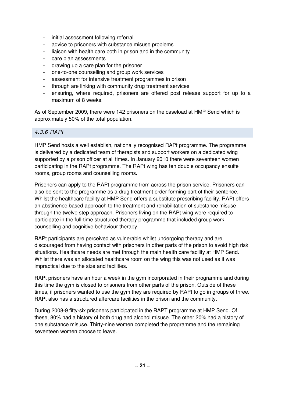- initial assessment following referral
- advice to prisoners with substance misuse problems
- liaison with health care both in prison and in the community
- care plan assessments
- drawing up a care plan for the prisoner
- one-to-one counselling and group work services
- assessment for intensive treatment programmes in prison
- through are linking with community drug treatment services
- ensuring, where required, prisoners are offered post release support for up to a maximum of 8 weeks.

As of September 2009, there were 142 prisoners on the caseload at HMP Send which is approximately 50% of the total population.

### 4.3.6 RAPt

HMP Send hosts a well establish, nationally recognised RAPt programme. The programme is delivered by a dedicated team of therapists and support workers on a dedicated wing supported by a prison officer at all times. In January 2010 there were seventeen women participating in the RAPt programme. The RAPt wing has ten double occupancy ensuite rooms, group rooms and counselling rooms.

Prisoners can apply to the RAPt programme from across the prison service. Prisoners can also be sent to the programme as a drug treatment order forming part of their sentence. Whilst the healthcare facility at HMP Send offers a substitute prescribing facility, RAPt offers an abstinence based approach to the treatment and rehabilitation of substance misuse through the twelve step approach. Prisoners living on the RAPt wing were required to participate in the full-time structured therapy programme that included group work, counselling and cognitive behaviour therapy.

RAPt participants are perceived as vulnerable whilst undergoing therapy and are discouraged from having contact with prisoners in other parts of the prison to avoid high risk situations. Healthcare needs are met through the main health care facility at HMP Send. Whilst there was an allocated healthcare room on the wing this was not used as it was impractical due to the size and facilities.

RAPt prisoners have an hour a week in the gym incorporated in their programme and during this time the gym is closed to prisoners from other parts of the prison. Outside of these times, if prisoners wanted to use the gym they are required by RAPt to go in groups of three. RAPt also has a structured aftercare facilities in the prison and the community.

During 2008-9 fifty-six prisoners participated in the RAPT programme at HMP Send. Of these, 80% had a history of both drug and alcohol misuse. The other 20% had a history of one substance misuse. Thirty-nine women completed the programme and the remaining seventeen women choose to leave.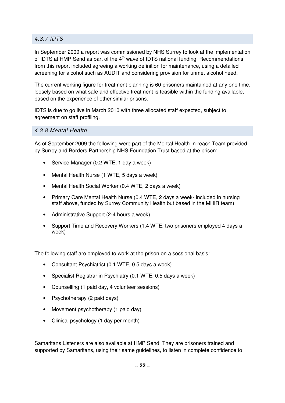# 4.3.7 IDTS

In September 2009 a report was commissioned by NHS Surrey to look at the implementation of IDTS at HMP Send as part of the  $4<sup>th</sup>$  wave of IDTS national funding. Recommendations from this report included agreeing a working definition for maintenance, using a detailed screening for alcohol such as AUDIT and considering provision for unmet alcohol need.

The current working figure for treatment planning is 60 prisoners maintained at any one time, loosely based on what safe and effective treatment is feasible within the funding available, based on the experience of other similar prisons.

IDTS is due to go live in March 2010 with three allocated staff expected, subject to agreement on staff profiling.

## 4.3.8 Mental Health

As of September 2009 the following were part of the Mental Health In-reach Team provided by Surrey and Borders Partnership NHS Foundation Trust based at the prison:

- Service Manager (0.2 WTE, 1 day a week)
- Mental Health Nurse (1 WTE, 5 days a week)
- Mental Health Social Worker (0.4 WTE, 2 days a week)
- Primary Care Mental Health Nurse (0.4 WTE, 2 days a week- included in nursing staff above, funded by Surrey Community Health but based in the MHIR team)
- Administrative Support (2-4 hours a week)
- Support Time and Recovery Workers (1.4 WTE, two prisoners employed 4 days a week)

The following staff are employed to work at the prison on a sessional basis:

- Consultant Psychiatrist (0.1 WTE, 0.5 days a week)
- Specialist Registrar in Psychiatry (0.1 WTE, 0.5 days a week)
- Counselling (1 paid day, 4 volunteer sessions)
- Psychotherapy (2 paid days)
- Movement psychotherapy (1 paid day)
- Clinical psychology (1 day per month)

Samaritans Listeners are also available at HMP Send. They are prisoners trained and supported by Samaritans, using their same guidelines, to listen in complete confidence to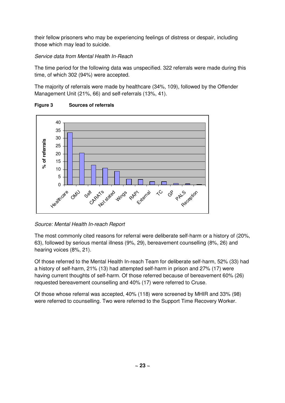their fellow prisoners who may be experiencing feelings of distress or despair, including those which may lead to suicide.

# Service data from Mental Health In-Reach

The time period for the following data was unspecified. 322 referrals were made during this time, of which 302 (94%) were accepted.

The majority of referrals were made by healthcare (34%, 109), followed by the Offender Management Unit (21%, 66) and self-referrals (13%, 41).



# **Figure 3 Sources of referrals**

# Source: Mental Health In-reach Report

The most commonly cited reasons for referral were deliberate self-harm or a history of (20%, 63), followed by serious mental illness (9%, 29), bereavement counselling (8%, 26) and hearing voices (8%, 21).

Of those referred to the Mental Health In-reach Team for deliberate self-harm, 52% (33) had a history of self-harm, 21% (13) had attempted self-harm in prison and 27% (17) were having current thoughts of self-harm. Of those referred because of bereavement 60% (26) requested bereavement counselling and 40% (17) were referred to Cruse.

Of those whose referral was accepted, 40% (118) were screened by MHIR and 33% (98) were referred to counselling. Two were referred to the Support Time Recovery Worker.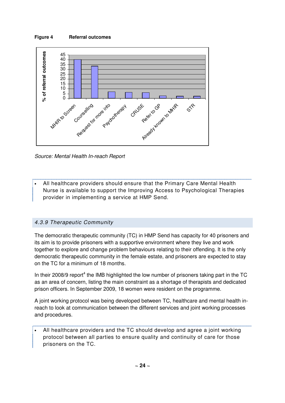#### **Figure 4 Referral outcomes**



Source: Mental Health In-reach Report

• All healthcare providers should ensure that the Primary Care Mental Health Nurse is available to support the Improving Access to Psychological Therapies provider in implementing a service at HMP Send.

## 4.3.9 Therapeutic Community

The democratic therapeutic community (TC) in HMP Send has capacity for 40 prisoners and its aim is to provide prisoners with a supportive environment where they live and work together to explore and change problem behaviours relating to their offending. It is the only democratic therapeutic community in the female estate, and prisoners are expected to stay on the TC for a minimum of 18 months.

In their 2008/9 report<sup>4</sup> the IMB highlighted the low number of prisoners taking part in the TC as an area of concern, listing the main constraint as a shortage of therapists and dedicated prison officers. In September 2009, 18 women were resident on the programme.

A joint working protocol was being developed between TC, healthcare and mental health inreach to look at communication between the different services and joint working processes and procedures.

• All healthcare providers and the TC should develop and agree a joint working protocol between all parties to ensure quality and continuity of care for those prisoners on the TC.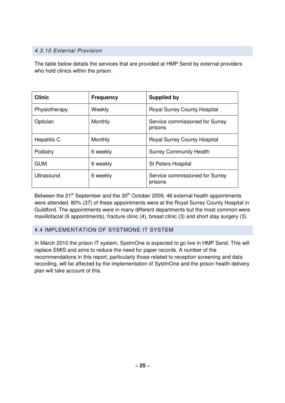# 4.3.10 External Provision

The table below details the services that are provided at HMP Send by external providers who hold clinics within the prison.

| <b>Clinic</b>      | <b>Frequency</b> | <b>Supplied by</b>                         |
|--------------------|------------------|--------------------------------------------|
| Physiotherapy      | Weekly           | <b>Royal Surrey County Hospital</b>        |
| Optician           | Monthly          | Service commissioned for Surrey<br>prisons |
| <b>Hepatitis C</b> | Monthly          | <b>Royal Surrey County Hospital</b>        |
| Podiatry           | 6 weekly         | <b>Surrey Community Health</b>             |
| <b>GUM</b>         | 6 weekly         | <b>St Peters Hospital</b>                  |
| Ultrasound         | 6 weekly         | Service commissioned for Surrey<br>prisons |

Between the  $21<sup>st</sup>$  September and the  $30<sup>th</sup>$  October 2009, 46 external health appointments were attended. 80% (37) of these appointments were at the Royal Surrey County Hospital in Guildford. The appointments were in many different departments but the most common were maxillofacial (6 appointments), fracture clinic (4), breast clinic (3) and short stay surgery (3).

# 4.4 IMPLEMENTATION OF SYSTMONE IT SYSTEM

In March 2010 the prison IT system, SystmOne is expected to go live in HMP Send. This will replace EMIS and aims to reduce the need for paper records. A number of the recommendations in this report, particularly those related to reception screening and data recording, will be affected by the implementation of SystmOne and the prison health delivery plan will take account of this.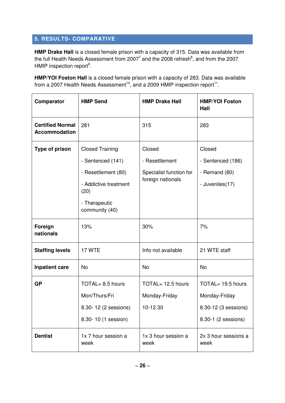# **5. RESULTS- COMPARATIVE**

**HMP Drake Hall** is a closed female prison with a capacity of 315. Data was available from the full Health Needs Assessment from 2007<sup>7</sup> and the 2008 refresh<sup>8</sup>, and from the 2007 HMIP inspection report<sup>9</sup>.

**HMP/YOI Foston Hall** is a closed female prison with a capacity of 283. Data was available from a 2007 Health Needs Assessment<sup>10</sup>, and a 2009 HMIP inspection report<sup>11</sup>.

| Comparator                                      | <b>HMP Send</b>                     | <b>HMP Drake Hall</b>                                       | <b>HMP/YOI Foston</b><br>Hall |  |
|-------------------------------------------------|-------------------------------------|-------------------------------------------------------------|-------------------------------|--|
| <b>Certified Normal</b><br><b>Accommodation</b> | 281                                 | 315                                                         | 283                           |  |
| Type of prison                                  | <b>Closed Training</b>              | Closed                                                      | Closed                        |  |
|                                                 | - Resettlement<br>- Sentenced (141) |                                                             | - Sentenced (186)             |  |
|                                                 | - Resettlement (80)                 | Specialist function for                                     | - Remand $(80)$               |  |
|                                                 | - Addictive treatment<br>(20)       | foreign nationals                                           | - Juveniles(17)               |  |
|                                                 | - Therapeutic<br>community (40)     |                                                             |                               |  |
| Foreign<br>nationals                            | 13%                                 | 30%                                                         | 7%                            |  |
| <b>Staffing levels</b>                          | 17 WTE                              | Info not available                                          | 21 WTE staff                  |  |
| <b>Inpatient care</b>                           | <b>No</b>                           | <b>No</b>                                                   | No                            |  |
| <b>GP</b>                                       | TOTAL= 8.5 hours                    | TOTAL= 12.5 hours                                           | TOTAL= 19.5 hours             |  |
|                                                 | Mon/Thurs/Fri                       | Monday-Friday                                               | Monday-Friday                 |  |
| 8.30-12 (2 sessions)                            |                                     | 10-12.30                                                    | 8.30-12 (3 sessions)          |  |
|                                                 | 8.30-10 (1 session)                 |                                                             | 8.30-1 (2 sessions)           |  |
| <b>Dentist</b>                                  | 1x 7 hour session a<br>week         | 1x 3 hour session a<br>2x 3 hour sessions a<br>week<br>week |                               |  |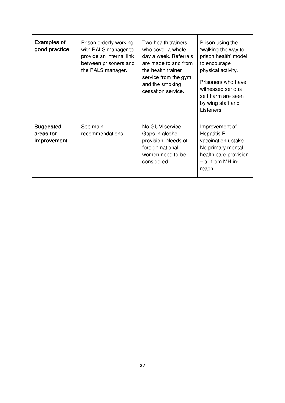| <b>Examples of</b><br>good practice                                          | Prison orderly working<br>with PALS manager to<br>provide an internal link<br>between prisoners and<br>the PALS manager. | Two health trainers<br>who cover a whole<br>day a week. Referrals<br>are made to and from<br>the health trainer<br>service from the gym<br>and the smoking<br>cessation service. | Prison using the<br>'walking the way to<br>prison health' model<br>to encourage<br>physical activity.<br>Prisoners who have<br>witnessed serious<br>self harm are seen<br>by wing staff and<br>Listeners. |  |
|------------------------------------------------------------------------------|--------------------------------------------------------------------------------------------------------------------------|----------------------------------------------------------------------------------------------------------------------------------------------------------------------------------|-----------------------------------------------------------------------------------------------------------------------------------------------------------------------------------------------------------|--|
| See main<br><b>Suggested</b><br>areas for<br>recommendations.<br>improvement |                                                                                                                          | No GUM service.<br>Gaps in alcohol<br>provision. Needs of<br>foreign national<br>women need to be<br>considered.                                                                 | Improvement of<br><b>Hepatitis B</b><br>vaccination uptake.<br>No primary mental<br>health care provision<br>$-$ all from MH in-<br>reach.                                                                |  |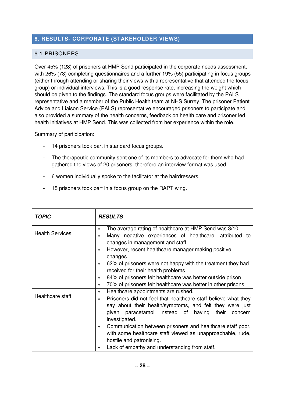# **6. RESULTS- CORPORATE (STAKEHOLDER VIEWS)**

# 6.1 PRISONERS

Over 45% (128) of prisoners at HMP Send participated in the corporate needs assessment, with 26% (73) completing questionnaires and a further 19% (55) participating in focus groups (either through attending or sharing their views with a representative that attended the focus group) or individual interviews. This is a good response rate, increasing the weight which should be given to the findings. The standard focus groups were facilitated by the PALS representative and a member of the Public Health team at NHS Surrey. The prisoner Patient Advice and Liaison Service (PALS) representative encouraged prisoners to participate and also provided a summary of the health concerns, feedback on health care and prisoner led health initiatives at HMP Send. This was collected from her experience within the role.

Summary of participation:

- 14 prisoners took part in standard focus groups.
- The therapeutic community sent one of its members to advocate for them who had gathered the views of 20 prisoners, therefore an interview format was used.
- 6 women individually spoke to the facilitator at the hairdressers.
- 15 prisoners took part in a focus group on the RAPT wing.

| <b>TOPIC</b>           | <b>RESULTS</b>                                                                                                                                                                                                                                                                                                                                                                                         |  |  |  |  |
|------------------------|--------------------------------------------------------------------------------------------------------------------------------------------------------------------------------------------------------------------------------------------------------------------------------------------------------------------------------------------------------------------------------------------------------|--|--|--|--|
| <b>Health Services</b> | The average rating of healthcare at HMP Send was 3/10.<br>$\bullet$<br>Many negative experiences of healthcare, attributed to<br>changes in management and staff.<br>However, recent healthcare manager making positive<br>changes.<br>62% of prisoners were not happy with the treatment they had<br>received for their health problems<br>84% of prisoners felt healthcare was better outside prison |  |  |  |  |
|                        |                                                                                                                                                                                                                                                                                                                                                                                                        |  |  |  |  |
| Healthcare staff       | 70% of prisoners felt healthcare was better in other prisons<br>$\bullet$<br>Healthcare appointments are rushed.<br>$\bullet$<br>Prisoners did not feel that healthcare staff believe what they                                                                                                                                                                                                        |  |  |  |  |
|                        | say about their health/symptoms, and felt they were just<br>given paracetamol instead of having<br>their<br>concern<br>investigated.<br>Communication between prisoners and healthcare staff poor,<br>with some healthcare staff viewed as unapproachable, rude,                                                                                                                                       |  |  |  |  |
|                        | hostile and patronising.<br>Lack of empathy and understanding from staff.                                                                                                                                                                                                                                                                                                                              |  |  |  |  |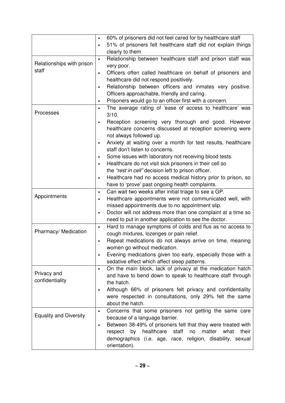|                               | 60% of prisoners did not feel cared for by healthcare staff               |
|-------------------------------|---------------------------------------------------------------------------|
|                               | 51% of prisoners felt healthcare staff did not explain things             |
|                               | clearly to them                                                           |
|                               | Relationship between healthcare staff and prison staff was<br>$\bullet$   |
| Relationships with prison     | very poor.                                                                |
| staff                         | Officers often called healthcare on behalf of prisoners and<br>$\bullet$  |
|                               | healthcare did not respond positively.                                    |
|                               | Relationship between officers and inmates very positive.<br>$\bullet$     |
|                               | Officers approachable, friendly and caring.                               |
|                               | Prisoners would go to an officer first with a concern.<br>$\bullet$       |
|                               | The average rating of 'ease of access to healthcare' was<br>$\bullet$     |
| Processes                     | 3/10.                                                                     |
|                               | Reception screening very thorough and good. However                       |
|                               | healthcare concerns discussed at reception screening were                 |
|                               | not always followed up.                                                   |
|                               | Anxiety at waiting over a month for test results, healthcare              |
|                               | staff don't listen to concerns.                                           |
|                               | Some issues with laboratory not receiving blood tests.                    |
|                               | Healthcare do not visit sick prisoners in their cell so<br>$\bullet$      |
|                               | the "rest in cell" decision left to prison officer.                       |
|                               | Healthcare had no access medical history prior to prison, so<br>$\bullet$ |
|                               | have to 'prove' past ongoing health complaints.                           |
|                               | Can wait two weeks after initial triage to see a GP.<br>$\bullet$         |
| Appointments                  | Healthcare appointments were not communicated well, with<br>$\bullet$     |
|                               | missed appointments due to no appointment slip.                           |
|                               | Doctor will not address more than one complaint at a time so<br>$\bullet$ |
|                               | need to put in another application to see the doctor.                     |
|                               | Hard to manage symptoms of colds and flus as no access to<br>$\bullet$    |
| Pharmacy/ Medication          | cough mixtures, lozenges or pain relief.                                  |
|                               | Repeat medications do not always arrive on time, meaning<br>$\bullet$     |
|                               | women go without medication.                                              |
|                               | Evening medications given too early, especially those with a              |
|                               | sedative effect which affect sleep patterns.                              |
|                               | On the main block, lack of privacy at the medication hatch<br>$\bullet$   |
| Privacy and                   | and have to bend down to speak to healthcare staff through                |
| confidentiality               | the hatch.                                                                |
|                               | Although 66% of prisoners felt privacy and confidentiality<br>$\bullet$   |
|                               | were respected in consultations, only 29% felt the same                   |
|                               | about the hatch.                                                          |
|                               | Concerns that some prisoners not getting the same care<br>$\bullet$       |
| <b>Equality and Diversity</b> | because of a language barrier.                                            |
|                               | Between 38-49% of prisoners felt that they were treated with<br>$\bullet$ |
|                               | respect by healthcare<br>staff<br>matter<br>no<br>what<br>their           |
|                               | demographics (i.e. age, race, religion, disability, sexual                |
|                               | orientation).                                                             |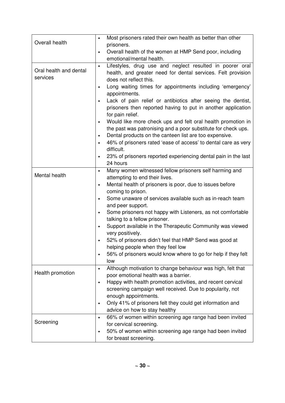| Overall health                     | Most prisoners rated their own health as better than other<br>$\bullet$<br>prisoners.                                                                                                                                                     |
|------------------------------------|-------------------------------------------------------------------------------------------------------------------------------------------------------------------------------------------------------------------------------------------|
|                                    | Overall health of the women at HMP Send poor, including<br>$\bullet$<br>emotional/mental health.                                                                                                                                          |
| Oral health and dental<br>services | Lifestyles, drug use and neglect resulted in poorer oral<br>$\bullet$<br>health, and greater need for dental services. Felt provision<br>does not reflect this.<br>Long waiting times for appointments including 'emergency'<br>$\bullet$ |
|                                    | appointments.                                                                                                                                                                                                                             |
|                                    | Lack of pain relief or antibiotics after seeing the dentist,<br>$\bullet$<br>prisoners then reported having to put in another application<br>for pain relief.                                                                             |
|                                    | Would like more check ups and felt oral health promotion in<br>the past was patronising and a poor substitute for check ups.<br>Dental products on the canteen list are too expensive.<br>$\bullet$                                       |
|                                    | 46% of prisoners rated 'ease of access' to dental care as very<br>difficult.                                                                                                                                                              |
|                                    | 23% of prisoners reported experiencing dental pain in the last<br>24 hours                                                                                                                                                                |
| Mental health                      | Many women witnessed fellow prisoners self harming and<br>$\bullet$<br>attempting to end their lives.                                                                                                                                     |
|                                    | Mental health of prisoners is poor, due to issues before<br>$\bullet$<br>coming to prison.                                                                                                                                                |
|                                    | Some unaware of services available such as in-reach team<br>$\bullet$                                                                                                                                                                     |
|                                    | and peer support.<br>Some prisoners not happy with Listeners, as not comfortable<br>$\bullet$<br>talking to a fellow prisoner.                                                                                                            |
|                                    | Support available in the Therapeutic Community was viewed<br>$\bullet$<br>very positively.                                                                                                                                                |
|                                    | 52% of prisoners didn't feel that HMP Send was good at<br>helping people when they feel low                                                                                                                                               |
|                                    | 56% of prisoners would know where to go for help if they felt<br>$\bullet$<br>low                                                                                                                                                         |
| Health promotion                   | Although motivation to change behaviour was high, felt that<br>$\bullet$<br>poor emotional health was a barrier.<br>Happy with health promotion activities, and recent cervical<br>$\bullet$                                              |
|                                    | screening campaign well received. Due to popularity, not<br>enough appointments.                                                                                                                                                          |
|                                    | Only 41% of prisoners felt they could get information and<br>$\bullet$<br>advice on how to stay healthy                                                                                                                                   |
| Screening                          | 66% of women within screening age range had been invited<br>$\bullet$<br>for cervical screening.                                                                                                                                          |
|                                    | 50% of women within screening age range had been invited<br>$\bullet$<br>for breast screening.                                                                                                                                            |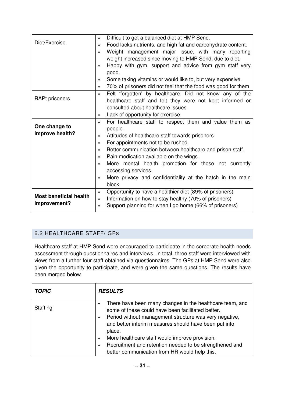|                               | Difficult to get a balanced diet at HMP Send.                              |  |  |  |
|-------------------------------|----------------------------------------------------------------------------|--|--|--|
| Diet/Exercise                 | Food lacks nutrients, and high fat and carbohydrate content.               |  |  |  |
|                               | Weight management major issue, with many reporting                         |  |  |  |
|                               | weight increased since moving to HMP Send, due to diet.                    |  |  |  |
|                               | Happy with gym, support and advice from gym staff very                     |  |  |  |
|                               | good.                                                                      |  |  |  |
|                               | Some taking vitamins or would like to, but very expensive.                 |  |  |  |
|                               | 70% of prisoners did not feel that the food was good for them<br>$\bullet$ |  |  |  |
|                               | Felt 'forgotten' by healthcare. Did not know any of the<br>$\bullet$       |  |  |  |
| <b>RAPt prisoners</b>         | healthcare staff and felt they were not kept informed or                   |  |  |  |
|                               | consulted about healthcare issues.                                         |  |  |  |
|                               | Lack of opportunity for exercise<br>$\bullet$                              |  |  |  |
|                               | For healthcare staff to respect them and value them as                     |  |  |  |
| One change to                 | people.                                                                    |  |  |  |
| improve health?               | Attitudes of healthcare staff towards prisoners.                           |  |  |  |
|                               | For appointments not to be rushed.                                         |  |  |  |
|                               | Better communication between healthcare and prison staff.                  |  |  |  |
|                               | Pain medication available on the wings.<br>$\bullet$                       |  |  |  |
|                               | More mental health promotion for those not currently                       |  |  |  |
|                               | accessing services.                                                        |  |  |  |
|                               | More privacy and confidentiality at the hatch in the main<br>$\bullet$     |  |  |  |
|                               | block.                                                                     |  |  |  |
|                               | Opportunity to have a healthier diet (89% of prisoners)<br>$\bullet$       |  |  |  |
| <b>Most beneficial health</b> | Information on how to stay healthy (70% of prisoners)<br>$\bullet$         |  |  |  |
| improvement?                  | Support planning for when I go home (66% of prisoners)<br>$\bullet$        |  |  |  |

# 6.2 HEALTHCARE STAFF/ GPS

Healthcare staff at HMP Send were encouraged to participate in the corporate health needs assessment through questionnaires and interviews. In total, three staff were interviewed with views from a further four staff obtained via questionnaires. The GPs at HMP Send were also given the opportunity to participate, and were given the same questions. The results have been merged below.

| <b>TOPIC</b> | <b>RESULTS</b>                                                                                                                                                                                                                                                                                                                                                                                           |
|--------------|----------------------------------------------------------------------------------------------------------------------------------------------------------------------------------------------------------------------------------------------------------------------------------------------------------------------------------------------------------------------------------------------------------|
| Staffing     | There have been many changes in the healthcare team, and<br>some of these could have been facilitated better.<br>Period without management structure was very negative,<br>and better interim measures should have been put into<br>place.<br>More healthcare staff would improve provision.<br>Recruitment and retention needed to be strengthened and<br>better communication from HR would help this. |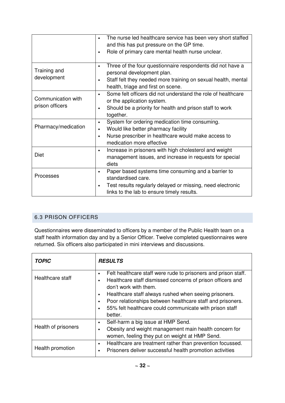|                                       | The nurse led healthcare service has been very short staffed<br>and this has put pressure on the GP time.<br>Role of primary care mental health nurse unclear.<br>$\bullet$                                               |
|---------------------------------------|---------------------------------------------------------------------------------------------------------------------------------------------------------------------------------------------------------------------------|
| Training and<br>development           | Three of the four questionnaire respondents did not have a<br>$\bullet$<br>personal development plan.<br>Staff felt they needed more training on sexual health, mental<br>$\bullet$<br>health, triage and first on scene. |
| Communication with<br>prison officers | Some felt officers did not understand the role of healthcare<br>or the application system.<br>Should be a priority for health and prison staff to work<br>$\bullet$<br>together.                                          |
| Pharmacy/medication                   | System for ordering medication time consuming.<br>$\bullet$<br>Would like better pharmacy facility<br>Nurse prescriber in healthcare would make access to<br>$\bullet$<br>medication more effective                       |
| <b>Diet</b>                           | Increase in prisoners with high cholesterol and weight<br>$\bullet$<br>management issues, and increase in requests for special<br>diets                                                                                   |
| Processes                             | Paper based systems time consuming and a barrier to<br>$\bullet$<br>standardised care.<br>Test results regularly delayed or missing, need electronic<br>$\bullet$<br>links to the lab to ensure timely results.           |

# 6.3 PRISON OFFICERS

Questionnaires were disseminated to officers by a member of the Public Health team on a staff health information day and by a Senior Officer. Twelve completed questionnaires were returned. Six officers also participated in mini interviews and discussions.

| <b>TOPIC</b>        | <b>RESULTS</b>                                                                                                                                                                            |
|---------------------|-------------------------------------------------------------------------------------------------------------------------------------------------------------------------------------------|
| Healthcare staff    | Felt healthcare staff were rude to prisoners and prison staff.<br>$\bullet$<br>Healthcare staff dismissed concerns of prison officers and<br>don't work with them.                        |
|                     | Healthcare staff always rushed when seeing prisoners.<br>Poor relationships between healthcare staff and prisoners.<br>55% felt healthcare could communicate with prison staff<br>better. |
| Health of prisoners | Self-harm a big issue at HMP Send.<br>Obesity and weight management main health concern for<br>women, feeling they put on weight at HMP Send.                                             |
| Health promotion    | Healthcare are treatment rather than prevention focussed.<br>$\bullet$<br>Prisoners deliver successful health promotion activities                                                        |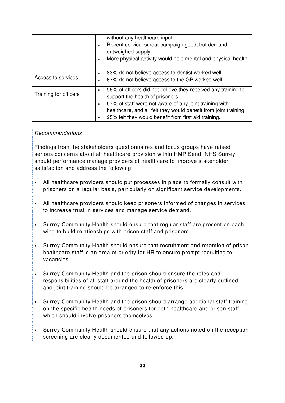|                       | without any healthcare input.<br>Recent cervical smear campaign good, but demand<br>outweighed supply.<br>More physical activity would help mental and physical health.                                                                                                                 |
|-----------------------|-----------------------------------------------------------------------------------------------------------------------------------------------------------------------------------------------------------------------------------------------------------------------------------------|
| Access to services    | 83% do not believe access to dentist worked well.<br>$\bullet$<br>67% do not believe access to the GP worked well.                                                                                                                                                                      |
| Training for officers | 58% of officers did not believe they received any training to<br>support the health of prisoners.<br>67% of staff were not aware of any joint training with<br>healthcare, and all felt they would benefit from joint training.<br>25% felt they would benefit from first aid training. |

## Recommendations

Findings from the stakeholders questionnaires and focus groups have raised serious concerns about all healthcare provision within HMP Send. NHS Surrey should performance manage providers of healthcare to improve stakeholder satisfaction and address the following:

- All healthcare providers should put processes in place to formally consult with prisoners on a regular basis, particularly on significant service developments.
- All healthcare providers should keep prisoners informed of changes in services to increase trust in services and manage service demand.
- Surrey Community Health should ensure that regular staff are present on each wing to build relationships with prison staff and prisoners.
- Surrey Community Health should ensure that recruitment and retention of prison healthcare staff is an area of priority for HR to ensure prompt recruiting to vacancies.
- Surrey Community Health and the prison should ensure the roles and responsibilities of all staff around the health of prisoners are clearly outlined, and joint training should be arranged to re-enforce this.
- Surrey Community Health and the prison should arrange additional staff training on the specific health needs of prisoners for both healthcare and prison staff, which should involve prisoners themselves.
- Surrey Community Health should ensure that any actions noted on the reception screening are clearly documented and followed up.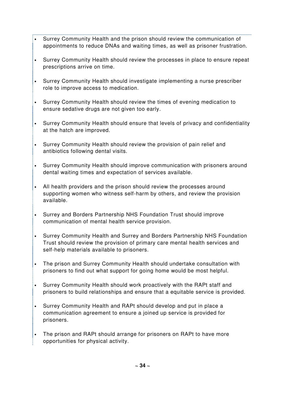- Surrey Community Health and the prison should review the communication of appointments to reduce DNAs and waiting times, as well as prisoner frustration.
- Surrey Community Health should review the processes in place to ensure repeat prescriptions arrive on time.
- Surrey Community Health should investigate implementing a nurse prescriber role to improve access to medication.
- Surrey Community Health should review the times of evening medication to ensure sedative drugs are not given too early.
- Surrey Community Health should ensure that levels of privacy and confidentiality at the hatch are improved.
- Surrey Community Health should review the provision of pain relief and antibiotics following dental visits.
- Surrey Community Health should improve communication with prisoners around dental waiting times and expectation of services available.
- All health providers and the prison should review the processes around supporting women who witness self-harm by others, and review the provision available.
- Surrey and Borders Partnership NHS Foundation Trust should improve communication of mental health service provision.
- Surrey Community Health and Surrey and Borders Partnership NHS Foundation Trust should review the provision of primary care mental health services and self-help materials available to prisoners.
- The prison and Surrey Community Health should undertake consultation with prisoners to find out what support for going home would be most helpful.
- Surrey Community Health should work proactively with the RAPt staff and prisoners to build relationships and ensure that a equitable service is provided.
- Surrey Community Health and RAPt should develop and put in place a communication agreement to ensure a joined up service is provided for prisoners.
- The prison and RAPt should arrange for prisoners on RAPt to have more opportunities for physical activity.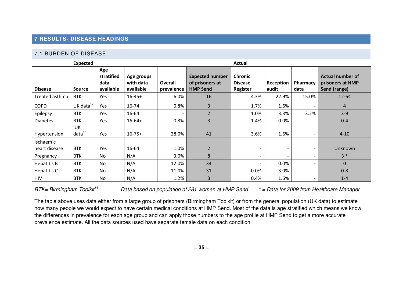## **7 RESULTS- DISEASE HEADINGS**

## 7.1 BURDEN OF DISEASE

|                            | Expected                 |                                        |                                      |                              | Actual                                                       |                                              |                          |                          |                                                             |
|----------------------------|--------------------------|----------------------------------------|--------------------------------------|------------------------------|--------------------------------------------------------------|----------------------------------------------|--------------------------|--------------------------|-------------------------------------------------------------|
| <b>Disease</b>             | <b>Source</b>            | Age<br>stratified<br>data<br>available | Age groups<br>with data<br>available | <b>Overall</b><br>prevalence | <b>Expected number</b><br>of prisoners at<br><b>HMP Send</b> | <b>Chronic</b><br><b>Disease</b><br>Register | Reception<br>audit       | Pharmacy<br>data         | <b>Actual number of</b><br>prisoners at HMP<br>Send (range) |
| Treated asthma             | <b>BTK</b>               | Yes                                    | $16 - 45 +$                          | 6.0%                         | 16                                                           | 4.3%                                         | 22.9%                    | 15.0%                    | $12 - 64$                                                   |
| <b>COPD</b>                | UK data $^{12}$          | Yes                                    | 16-74                                | 0.8%                         | $\overline{3}$                                               | 1.7%                                         | 1.6%                     | $\overline{\phantom{0}}$ | $\overline{4}$                                              |
| Epilepsy                   | <b>BTK</b>               | Yes                                    | 16-64                                | $\overline{\phantom{a}}$     | 2                                                            | 1.0%                                         | 3.3%                     | 3.2%                     | $3-9$                                                       |
| <b>Diabetes</b>            | <b>BTK</b>               | Yes                                    | $16 - 64 +$                          | 0.8%                         | 3                                                            | 1.4%                                         | 0.0%                     | $\sim$                   | $0 - 4$                                                     |
| Hypertension               | UK<br>data <sup>13</sup> | Yes                                    | $16 - 75 +$                          | 28.0%                        | 41                                                           | 3.6%                                         | 1.6%                     | $\sim$                   | $4 - 10$                                                    |
| Ischaemic<br>heart disease | <b>BTK</b>               | Yes                                    | 16-64                                | 1.0%                         | $\overline{2}$                                               | $\overline{\phantom{a}}$                     | $\overline{\phantom{a}}$ | $\sim$                   | Unknown                                                     |
| Pregnancy                  | <b>BTK</b>               | No                                     | N/A                                  | 3.0%                         | 8                                                            | $\overline{\phantom{a}}$                     | $\overline{\phantom{a}}$ | $\overline{\phantom{a}}$ | $3 *$                                                       |
| Hepatitis B                | <b>BTK</b>               | No                                     | N/A                                  | 12.0%                        | 34                                                           | $\overline{\phantom{0}}$                     | 0.0%                     | $\overline{\phantom{0}}$ | $\Omega$                                                    |
| Hepatitis C                | <b>BTK</b>               | No                                     | N/A                                  | 11.0%                        | 31                                                           | 0.0%                                         | 3.0%                     | $\overline{\phantom{a}}$ | $0 - 8$                                                     |
| <b>HIV</b>                 | <b>BTK</b>               | No                                     | N/A                                  | 1.2%                         | 3                                                            | 0.4%                                         | 1.6%                     | $\sim$                   | $1 - 4$                                                     |

BTK= Birmingham Toolkit<sup>14</sup> Data based on population of 281 women at HMP Send  $*$  = Data for 2009 from Healthcare Manager

The table above uses data either from a large group of prisoners (Birmingham Toolkit) or from the general population (UK data) to estimate how many people we would expect to have certain medical conditions at HMP Send. Most of the data is age stratified which means we know the differences in prevalence for each age group and can apply those numbers to the age profile at HMP Send to get a more accurate prevalence estimate. All the data sources used have separate female data on each condition.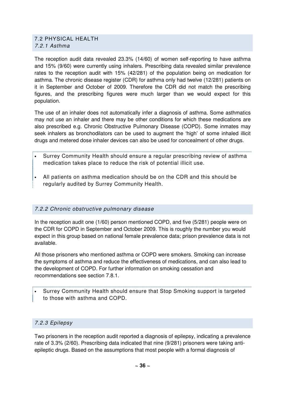### 7.2 PHYSICAL HEALTH 7.2.1 Asthma

The reception audit data revealed 23.3% (14/60) of women self-reporting to have asthma and 15% (9/60) were currently using inhalers. Prescribing data revealed similar prevalence rates to the reception audit with 15% (42/281) of the population being on medication for asthma. The chronic disease register (CDR) for asthma only had twelve (12/281) patients on it in September and October of 2009. Therefore the CDR did not match the prescribing figures, and the prescribing figures were much larger than we would expect for this population.

The use of an inhaler does not automatically infer a diagnosis of asthma. Some asthmatics may not use an inhaler and there may be other conditions for which these medications are also prescribed e.g. Chronic Obstructive Pulmonary Disease (COPD). Some inmates may seek inhalers as bronchodilators can be used to augment the 'high' of some inhaled illicit drugs and metered dose inhaler devices can also be used for concealment of other drugs.

- Surrey Community Health should ensure a regular prescribing review of asthma medication takes place to reduce the risk of potential illicit use.
- All patients on asthma medication should be on the CDR and this should be regularly audited by Surrey Community Health.

## 7.2.2 Chronic obstructive pulmonary disease

In the reception audit one (1/60) person mentioned COPD, and five (5/281) people were on the CDR for COPD in September and October 2009. This is roughly the number you would expect in this group based on national female prevalence data; prison prevalence data is not available.

All those prisoners who mentioned asthma or COPD were smokers. Smoking can increase the symptoms of asthma and reduce the effectiveness of medications, and can also lead to the development of COPD. For further information on smoking cessation and recommendations see section 7.8.1.

• Surrey Community Health should ensure that Stop Smoking support is targeted to those with asthma and COPD.

## 7.2.3 Epilepsy

Two prisoners in the reception audit reported a diagnosis of epilepsy, indicating a prevalence rate of 3.3% (2/60). Prescribing data indicated that nine (9/281) prisoners were taking antiepileptic drugs. Based on the assumptions that most people with a formal diagnosis of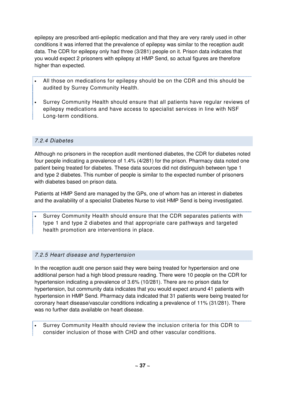epilepsy are prescribed anti-epileptic medication and that they are very rarely used in other conditions it was inferred that the prevalence of epilepsy was similar to the reception audit data. The CDR for epilepsy only had three (3/281) people on it. Prison data indicates that you would expect 2 prisoners with epilepsy at HMP Send, so actual figures are therefore higher than expected.

- All those on medications for epilepsy should be on the CDR and this should be audited by Surrey Community Health.
- Surrey Community Health should ensure that all patients have regular reviews of epilepsy medications and have access to specialist services in line with NSF Long-term conditions.

# 7.2.4 Diabetes

Although no prisoners in the reception audit mentioned diabetes, the CDR for diabetes noted four people indicating a prevalence of 1.4% (4/281) for the prison. Pharmacy data noted one patient being treated for diabetes. These data sources did not distinguish between type 1 and type 2 diabetes. This number of people is similar to the expected number of prisoners with diabetes based on prison data.

Patients at HMP Send are managed by the GPs, one of whom has an interest in diabetes and the availability of a specialist Diabetes Nurse to visit HMP Send is being investigated.

• Surrey Community Health should ensure that the CDR separates patients with type 1 and type 2 diabetes and that appropriate care pathways and targeted health promotion are interventions in place.

# 7.2.5 Heart disease and hypertension

In the reception audit one person said they were being treated for hypertension and one additional person had a high blood pressure reading. There were 10 people on the CDR for hypertension indicating a prevalence of 3.6% (10/281). There are no prison data for hypertension, but community data indicates that you would expect around 41 patients with hypertension in HMP Send. Pharmacy data indicated that 31 patients were being treated for coronary heart disease/vascular conditions indicating a prevalence of 11% (31/281). There was no further data available on heart disease.

• Surrey Community Health should review the inclusion criteria for this CDR to consider inclusion of those with CHD and other vascular conditions.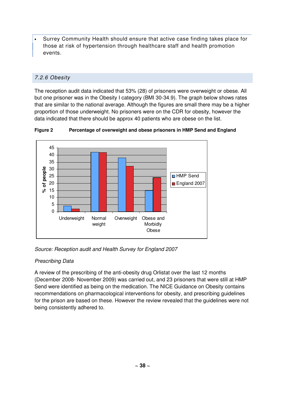• Surrey Community Health should ensure that active case finding takes place for those at risk of hypertension through healthcare staff and health promotion events.

# 7.2.6 Obesity

The reception audit data indicated that 53% (28) of prisoners were overweight or obese. All but one prisoner was in the Obesity I category (BMI 30-34.9). The graph below shows rates that are similar to the national average. Although the figures are small there may be a higher proportion of those underweight. No prisoners were on the CDR for obesity, however the data indicated that there should be approx 40 patients who are obese on the list.



**Figure 2 Percentage of overweight and obese prisoners in HMP Send and England** 

# Source: Reception audit and Health Survey for England 2007

## Prescribing Data

A review of the prescribing of the anti-obesity drug Orlistat over the last 12 months (December 2008- November 2009) was carried out, and 23 prisoners that were still at HMP Send were identified as being on the medication. The NICE Guidance on Obesity contains recommendations on pharmacological interventions for obesity, and prescribing guidelines for the prison are based on these. However the review revealed that the guidelines were not being consistently adhered to.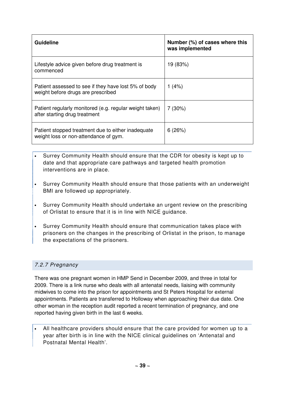| <b>Guideline</b>                                                                            | Number (%) of cases where this<br>was implemented |
|---------------------------------------------------------------------------------------------|---------------------------------------------------|
| Lifestyle advice given before drug treatment is<br>commenced                                | 19 (83%)                                          |
| Patient assessed to see if they have lost 5% of body<br>weight before drugs are prescribed  | 1(4%)                                             |
| Patient regularly monitored (e.g. regular weight taken)<br>after starting drug treatment    | 7(30%)                                            |
| Patient stopped treatment due to either inadequate<br>weight loss or non-attendance of gym. | 6(26%)                                            |

- Surrey Community Health should ensure that the CDR for obesity is kept up to date and that appropriate care pathways and targeted health promotion interventions are in place.
- Surrey Community Health should ensure that those patients with an underweight BMI are followed up appropriately.
- Surrey Community Health should undertake an urgent review on the prescribing of Orlistat to ensure that it is in line with NICE guidance.
- Surrey Community Health should ensure that communication takes place with prisoners on the changes in the prescribing of Orlistat in the prison, to manage the expectations of the prisoners.

# 7.2.7 Pregnancy

There was one pregnant women in HMP Send in December 2009, and three in total for 2009. There is a link nurse who deals with all antenatal needs, liaising with community midwives to come into the prison for appointments and St Peters Hospital for external appointments. Patients are transferred to Holloway when approaching their due date. One other woman in the reception audit reported a recent termination of pregnancy, and one reported having given birth in the last 6 weeks.

• All healthcare providers should ensure that the care provided for women up to a year after birth is in line with the NICE clinical guidelines on 'Antenatal and Postnatal Mental Health'.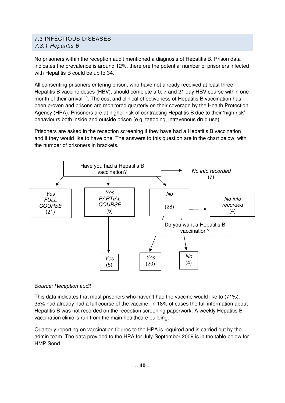# 7.3 INFECTIOUS DISEASES 7.3.1 Hepatitis B

No prisoners within the reception audit mentioned a diagnosis of Hepatitis B. Prison data indicates the prevalence is around 12%, therefore the potential number of prisoners infected with Hepatitis B could be up to 34.

All consenting prisoners entering prison, who have not already received at least three Hepatitis B vaccine doses (HBV), should complete a 0, 7 and 21 day HBV course within one month of their arrival <sup>15</sup>. The cost and clinical effectiveness of Hepatitis B vaccination has been proven and prisons are monitored quarterly on their coverage by the Health Protection Agency (HPA). Prisoners are at higher risk of contracting Hepatitis B due to their 'high risk' behaviours both inside and outside prison (e.g. tattooing, intravenous drug use).

Prisoners are asked in the reception screening if they have had a Hepatitis B vaccination and if they would like to have one. The answers to this question are in the chart below, with the number of prisoners in brackets.



## Source: Reception audit

This data indicates that most prisoners who haven't had the vaccine would like to (71%). 35% had already had a full course of the vaccine. In 18% of cases the full information about Hepatitis B was not recorded on the reception screening paperwork. A weekly Hepatitis B vaccination clinic is run from the main healthcare building.

Quarterly reporting on vaccination figures to the HPA is required and is carried out by the admin team. The data provided to the HPA for July-September 2009 is in the table below for HMP Send.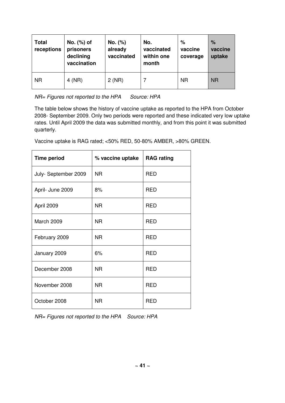| <b>Total</b><br>receptions | No. (%) of<br>prisoners<br>declining<br>vaccination | No. (%)<br>already<br>vaccinated | No.<br>vaccinated<br>within one<br>month | %<br>vaccine<br>coverage | %<br>vaccine<br>uptake |
|----------------------------|-----------------------------------------------------|----------------------------------|------------------------------------------|--------------------------|------------------------|
| <b>NR</b>                  | $4$ (NR)                                            | 2(NR)                            |                                          | <b>NR</b>                | <b>NR</b>              |

NR= Figures not reported to the HPA Source: HPA

The table below shows the history of vaccine uptake as reported to the HPA from October 2008- September 2009. Only two periods were reported and these indicated very low uptake rates. Until April 2009 the data was submitted monthly, and from this point it was submitted quarterly.

Vaccine uptake is RAG rated; <50% RED, 50-80% AMBER, >80% GREEN.

| <b>Time period</b>  | % vaccine uptake | <b>RAG rating</b> |
|---------------------|------------------|-------------------|
| July-September 2009 | <b>NR</b>        | <b>RED</b>        |
| April- June 2009    | 8%               | <b>RED</b>        |
| April 2009          | <b>NR</b>        | <b>RED</b>        |
| March 2009          | <b>NR</b>        | <b>RED</b>        |
| February 2009       | <b>NR</b>        | <b>RED</b>        |
| January 2009        | 6%               | <b>RED</b>        |
| December 2008       | <b>NR</b>        | <b>RED</b>        |
| November 2008       | <b>NR</b>        | <b>RED</b>        |
| October 2008        | <b>NR</b>        | <b>RED</b>        |

NR= Figures not reported to the HPA Source: HPA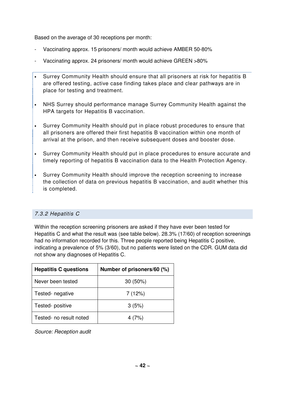Based on the average of 30 receptions per month:

- Vaccinating approx. 15 prisoners/ month would achieve AMBER 50-80%
- Vaccinating approx. 24 prisoners/ month would achieve GREEN >80%
- Surrey Community Health should ensure that all prisoners at risk for hepatitis B are offered testing, active case finding takes place and clear pathways are in place for testing and treatment.
- NHS Surrey should performance manage Surrey Community Health against the HPA targets for Hepatitis B vaccination.
- Surrey Community Health should put in place robust procedures to ensure that all prisoners are offered their first hepatitis B vaccination within one month of arrival at the prison, and then receive subsequent doses and booster dose.
- Surrey Community Health should put in place procedures to ensure accurate and timely reporting of hepatitis B vaccination data to the Health Protection Agency.
- Surrey Community Health should improve the reception screening to increase the collection of data on previous hepatitis B vaccination, and audit whether this is completed.

## 7.3.2 Hepatitis C

Within the reception screening prisoners are asked if they have ever been tested for Hepatitis C and what the result was (see table below). 28.3% (17/60) of reception screenings had no information recorded for this. Three people reported being Hepatitis C positive, indicating a prevalence of 5% (3/60), but no patients were listed on the CDR. GUM data did not show any diagnoses of Hepatitis C.

| <b>Hepatitis C questions</b> | Number of prisoners/60 (%) |
|------------------------------|----------------------------|
| Never been tested            | $30(50\%)$                 |
| Tested- negative             | 7(12%)                     |
| Tested-positive              | 3(5%)                      |
| Tested- no result noted      | 4 (7%)                     |

Source: Reception audit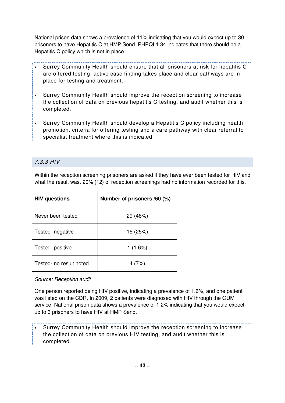National prison data shows a prevalence of 11% indicating that you would expect up to 30 prisoners to have Hepatitis C at HMP Send. PHPQI 1.34 indicates that there should be a Hepatitis C policy which is not in place.

- Surrey Community Health should ensure that all prisoners at risk for hepatitis C are offered testing, active case finding takes place and clear pathways are in place for testing and treatment.
- Surrey Community Health should improve the reception screening to increase the collection of data on previous hepatitis C testing, and audit whether this is completed.
- Surrey Community Health should develop a Hepatitis C policy including health promotion, criteria for offering testing and a care pathway with clear referral to specialist treatment where this is indicated.

## 7.3.3 HIV

Within the reception screening prisoners are asked if they have ever been tested for HIV and what the result was. 20% (12) of reception screenings had no information recorded for this.

| <b>HIV questions</b>    | Number of prisoners /60 (%) |  |
|-------------------------|-----------------------------|--|
| Never been tested       | 29 (48%)                    |  |
| Tested- negative        | 15 (25%)                    |  |
| Tested-positive         | 1(1.6%)                     |  |
| Tested- no result noted | 4 (7%)                      |  |

Source: Reception audit

One person reported being HIV positive, indicating a prevalence of 1.6%, and one patient was listed on the CDR. In 2009, 2 patients were diagnosed with HIV through the GUM service. National prison data shows a prevalence of 1.2% indicating that you would expect up to 3 prisoners to have HIV at HMP Send.

• Surrey Community Health should improve the reception screening to increase the collection of data on previous HIV testing, and audit whether this is completed.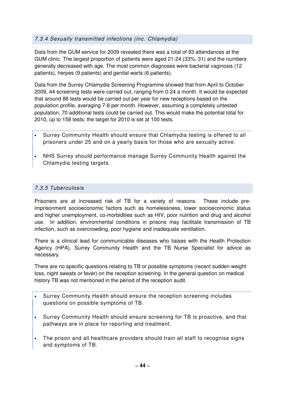# 7.3.4 Sexually transmitted infections (inc. Chlamydia)

Data from the GUM service for 2009 revealed there was a total of 93 attendances at the GUM clinic. The largest proportion of patients were aged 21-24 (33%, 31) and the numbers generally decreased with age. The most common diagnoses were bacterial vaginosis (12 patients), herpes (9 patients) and genital warts (6 patients).

Data from the Surrey Chlamydia Screening Programme showed that from April to October 2009, 44 screening tests were carried out, ranging from 0-24 a month. It would be expected that around 88 tests would be carried out per year for new receptions based on the population profile, averaging 7-8 per month. However, assuming a completely untested population, 70 additional tests could be carried out. This would make the potential total for 2010, up to 158 tests; the target for 2010 is set at 100 tests.

- Surrey Community Health should ensure that Chlamydia testing is offered to all prisoners under 25 and on a yearly basis for those who are sexually active.
- NHS Surrey should performance manage Surrey Community Health against the Chlamydia testing targets.

# 7.3.5 Tuberculosis

Prisoners are at increased risk of TB for a variety of reasons. These include preimprisonment socioeconomic factors such as homelessness, lower socioeconomic status and higher unemployment, co-morbidities such as HIV, poor nutrition and drug and alcohol use. In addition, environmental conditions in prisons may facilitate transmission of TB infection, such as overcrowding, poor hygiene and inadequate ventilation.

There is a clinical lead for communicable diseases who liaises with the Health Protection Agency (HPA), Surrey Community Health and the TB Nurse Specialist for advice as necessary.

There are no specific questions relating to TB or possible symptoms (recent sudden weight loss, night sweats or fever) on the reception screening. In the general question on medical history TB was not mentioned in the period of the reception audit.

- Surrey Community Health should ensure the reception screening includes questions on possible symptoms of TB.
- Surrey Community Health should ensure screening for TB is proactive, and that pathways are in place for reporting and treatment.
- The prison and all healthcare providers should train all staff to recognise signs and symptoms of TB.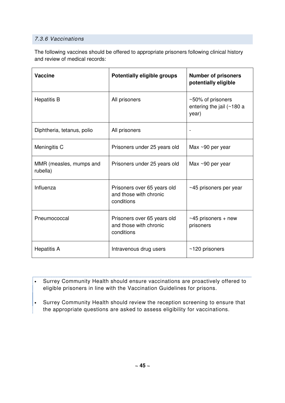# 7.3.6 Vaccinations

The following vaccines should be offered to appropriate prisoners following clinical history and review of medical records:

| <b>Vaccine</b>                      | Potentially eligible groups                                         | <b>Number of prisoners</b><br>potentially eligible         |
|-------------------------------------|---------------------------------------------------------------------|------------------------------------------------------------|
| <b>Hepatitis B</b>                  | All prisoners                                                       | ~50% of prisoners<br>entering the jail $($ ~180 a<br>year) |
| Diphtheria, tetanus, polio          | All prisoners                                                       |                                                            |
| Meningitis C                        | Prisoners under 25 years old                                        | Max ~90 per year                                           |
| MMR (measles, mumps and<br>rubella) | Prisoners under 25 years old                                        | Max $\sim$ 90 per year                                     |
| Influenza                           | Prisoners over 65 years old<br>and those with chronic<br>conditions | ~45 prisoners per year                                     |
| Pneumococcal                        | Prisoners over 65 years old<br>and those with chronic<br>conditions | $~1$ -45 prisoners + new<br>prisoners                      |
| <b>Hepatitis A</b>                  | Intravenous drug users                                              | $~120$ prisoners                                           |

........... • Surrey Community Health should ensure vaccinations are proactively offered to eligible prisoners in line with the Vaccination Guidelines for prisons.

• Surrey Community Health should review the reception screening to ensure that the appropriate questions are asked to assess eligibility for vaccinations.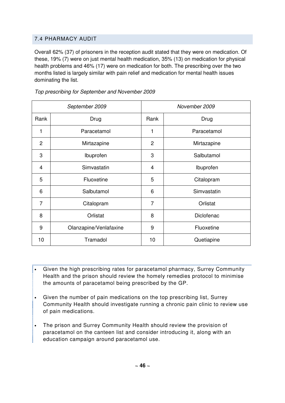# 7.4 PHARMACY AUDIT

Overall 62% (37) of prisoners in the reception audit stated that they were on medication. Of these, 19% (7) were on just mental health medication, 35% (13) on medication for physical health problems and 46% (17) were on medication for both. The prescribing over the two months listed is largely similar with pain relief and medication for mental health issues dominating the list.

| September 2009 |                        | November 2009  |             |
|----------------|------------------------|----------------|-------------|
| Rank           | Drug                   | Rank           | Drug        |
| 1              | Paracetamol            | 1              | Paracetamol |
| $\overline{c}$ | Mirtazapine            | $\overline{c}$ | Mirtazapine |
| 3              | Ibuprofen              | 3              | Salbutamol  |
| 4              | Simvastatin            | 4              | Ibuprofen   |
| 5              | Fluoxetine             | 5              | Citalopram  |
| 6              | Salbutamol             | 6              | Simvastatin |
| 7              | Citalopram             | $\overline{7}$ | Orlistat    |
| 8              | Orlistat               | 8              | Diclofenac  |
| 9              | Olanzapine/Venlafaxine | 9              | Fluoxetine  |
| 10             | Tramadol               | 10             | Quetiapine  |

Top prescribing for September and November 2009

- Given the high prescribing rates for paracetamol pharmacy, Surrey Community Health and the prison should review the homely remedies protocol to minimise the amounts of paracetamol being prescribed by the GP.
- Given the number of pain medications on the top prescribing list, Surrey Community Health should investigate running a chronic pain clinic to review use of pain medications.
- The prison and Surrey Community Health should review the provision of paracetamol on the canteen list and consider introducing it, along with an education campaign around paracetamol use.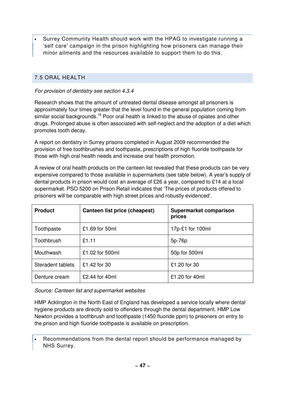• Surrey Community Health should work with the HPAG to investigate running a 'self care' campaign in the prison highlighting how prisoners can manage their minor ailments and the resources available to support them to do this.

# 7.5 ORAL HEALTH

#### For provision of dentistry see section 4.3.4

Research shows that the amount of untreated dental disease amongst all prisoners is approximately four times greater that the level found in the general population coming from similar social backgrounds.<sup>16</sup> Poor oral health is linked to the abuse of opiates and other drugs. Prolonged abuse is often associated with self-neglect and the adoption of a diet which promotes tooth decay.

A report on dentistry in Surrey prisons completed in August 2009 recommended the provision of free toothbrushes and toothpaste, prescriptions of high fluoride toothpaste for those with high oral health needs and increase oral health promotion.

A review of oral health products on the canteen list revealed that these products can be very expensive compared to those available in supermarkets (see table below). A year's supply of dental products in prison would cost an average of £26 a year, compared to £14 at a local supermarket. PSO 5200 on Prison Retail indicates that 'The prices of products offered to prisoners will be comparable with high street prices and robustly evidenced'.

| <b>Product</b>    | Canteen list price (cheapest) | Supermarket comparison<br>prices |
|-------------------|-------------------------------|----------------------------------|
| Toothpaste        | £1.69 for 50ml                | 17p-£1 for 100ml                 |
| Toothbrush        | £1.11                         | 5p-76p                           |
| Mouthwash         | £1.02 for 500ml               | 50p for 500ml                    |
| Steradent tablets | £1.42 for 30                  | £1.20 for 30                     |
| Denture cream     | £2.44 for 40ml                | £1.20 for 40ml                   |

Source: Canteen list and supermarket websites

HMP Acklington in the North East of England has developed a service locally where dental hygiene products are directly sold to offenders through the dental department. HMP Low Newton provides a toothbrush and toothpaste (1450 fluoride ppm) to prisoners on entry to the prison and high fluoride toothpaste is available on prescription.

• Recommendations from the dental report should be performance managed by NHS Surrey.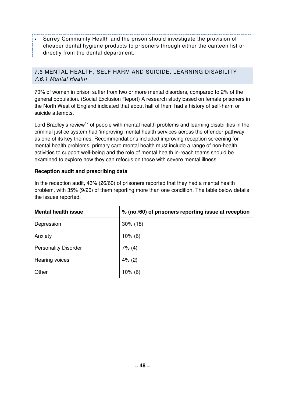• Surrey Community Health and the prison should investigate the provision of cheaper dental hygiene products to prisoners through either the canteen list or directly from the dental department.

# 7.6 MENTAL HEALTH, SELF HARM AND SUICIDE, LEARNING DISABILITY 7.6.1 Mental Health

70% of women in prison suffer from two or more mental disorders, compared to 2% of the general population. (Social Exclusion Report) A research study based on female prisoners in the North West of England indicated that about half of them had a history of self-harm or suicide attempts.

Lord Bradley's review<sup>17</sup> of people with mental health problems and learning disabilities in the criminal justice system had 'improving mental health services across the offender pathway' as one of its key themes. Recommendations included improving reception screening for mental health problems, primary care mental health must include a range of non-health activities to support well-being and the role of mental health in-reach teams should be examined to explore how they can refocus on those with severe mental illness.

## **Reception audit and prescribing data**

In the reception audit, 43% (26/60) of prisoners reported that they had a mental health problem, with 35% (9/26) of them reporting more than one condition. The table below details the issues reported.

| <b>Mental health issue</b>  | % (no./60) of prisoners reporting issue at reception |
|-----------------------------|------------------------------------------------------|
| Depression                  | $30\%$ (18)                                          |
| Anxiety                     | $10\%$ (6)                                           |
| <b>Personality Disorder</b> | 7% (4)                                               |
| Hearing voices              | 4% (2)                                               |
| Other                       | $10\%$ (6)                                           |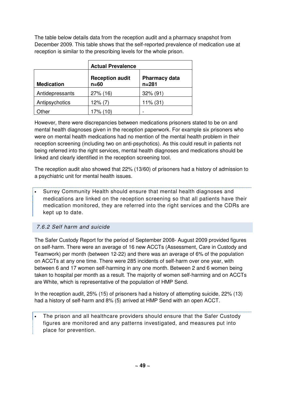The table below details data from the reception audit and a pharmacy snapshot from December 2009. This table shows that the self-reported prevalence of medication use at reception is similar to the prescribing levels for the whole prison.

|                   | <b>Actual Prevalence</b>         |                                   |
|-------------------|----------------------------------|-----------------------------------|
| <b>Medication</b> | <b>Reception audit</b><br>$n=60$ | <b>Pharmacy data</b><br>$n = 281$ |
| Antidepressants   | $27\%$ (16)                      | $32\%$ (91)                       |
| Antipsychotics    | $12\%$ (7)                       | $11\%$ (31)                       |
| ther              | 17% (10)                         |                                   |

However, there were discrepancies between medications prisoners stated to be on and mental health diagnoses given in the reception paperwork. For example six prisoners who were on mental health medications had no mention of the mental health problem in their reception screening (including two on anti-psychotics). As this could result in patients not being referred into the right services, mental health diagnoses and medications should be linked and clearly identified in the reception screening tool.

The reception audit also showed that 22% (13/60) of prisoners had a history of admission to a psychiatric unit for mental health issues.

• Surrey Community Health should ensure that mental health diagnoses and medications are linked on the reception screening so that all patients have their medication monitored, they are referred into the right services and the CDRs are kept up to date.

# 7.6.2 Self harm and suicide

The Safer Custody Report for the period of September 2008- August 2009 provided figures on self-harm. There were an average of 16 new ACCTs (Assessment, Care in Custody and Teamwork) per month (between 12-22) and there was an average of 6% of the population on ACCTs at any one time. There were 285 incidents of self-harm over one year, with between 6 and 17 women self-harming in any one month. Between 2 and 6 women being taken to hospital per month as a result. The majority of women self-harming and on ACCTs are White, which is representative of the population of HMP Send.

In the reception audit, 25% (15) of prisoners had a history of attempting suicide, 22% (13) had a history of self-harm and 8% (5) arrived at HMP Send with an open ACCT.

The prison and all healthcare providers should ensure that the Safer Custody figures are monitored and any patterns investigated, and measures put into place for prevention.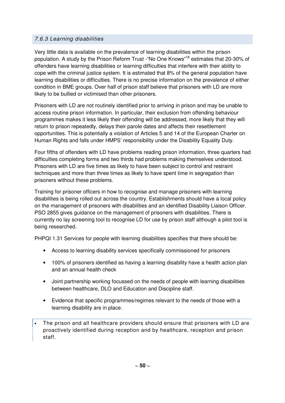# 7.6.3 Learning disabilities

Very little data is available on the prevalence of learning disabilities within the prison population. A study by the Prison Reform Trust -"No One Knows"<sup>18</sup> estimates that 20-30% of offenders have learning disabilities or learning difficulties that interfere with their ability to cope with the criminal justice system. It is estimated that 8% of the general population have learning disabilities or difficulties. There is no precise information on the prevalence of either condition in BME groups. Over half of prison staff believe that prisoners with LD are more likely to be bullied or victimised than other prisoners.

Prisoners with LD are not routinely identified prior to arriving in prison and may be unable to access routine prison information. In particular, their exclusion from offending behaviour programmes makes it less likely their offending will be addressed, more likely that they will return to prison repeatedly, delays their parole dates and affects their resettlement opportunities. This is potentially a violation of Articles 5 and 14 of the European Charter on Human Rights and falls under HMPS' responsibility under the Disability Equality Duty.

Four fifths of offenders with LD have problems reading prison information, three quarters had difficulties completing forms and two thirds had problems making themselves understood. Prisoners with LD are five times as likely to have been subject to control and restraint techniques and more than three times as likely to have spent time in segregation than prisoners without these problems.

Training for prisoner officers in how to recognise and manage prisoners with learning disabilities is being rolled out across the country. Establishments should have a local policy on the management of prisoners with disabilities and an identified Disability Liaison Officer. PSO 2855 gives guidance on the management of prisoners with disabilities. There is currently no lay screening tool to recognise LD for use by prison staff although a pilot tool is being researched.

PHPQI 1.31 Services for people with learning disabilities specifies that there should be:

- Access to learning disability services specifically commissioned for prisoners
- 100% of prisoners identified as having a learning disability have a health action plan and an annual health check
- Joint partnership working focussed on the needs of people with learning disabilities between healthcare, DLO and Education and Discipline staff.
- Evidence that specific programmes/regimes relevant to the needs of those with a learning disability are in place.
- The prison and all healthcare providers should ensure that prisoners with LD are proactively identified during reception and by healthcare, reception and prison staff.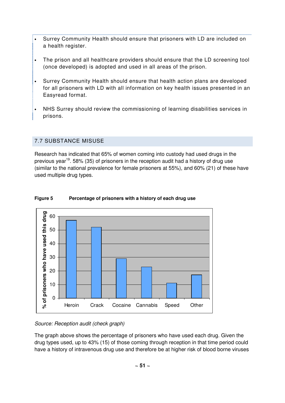- Surrey Community Health should ensure that prisoners with LD are included on a health register.
- The prison and all healthcare providers should ensure that the LD screening tool (once developed) is adopted and used in all areas of the prison.
- Surrey Community Health should ensure that health action plans are developed for all prisoners with LD with all information on key health issues presented in an Easyread format.
- NHS Surrey should review the commissioning of learning disabilities services in prisons.

# 7.7 SUBSTANCE MISUSE

Research has indicated that 65% of women coming into custody had used drugs in the previous year<sup>19</sup>. 58% (35) of prisoners in the reception audit had a history of drug use (similar to the national prevalence for female prisoners at 55%), and 60% (21) of these have used multiple drug types.



### **Figure 5 Percentage of prisoners with a history of each drug use**

#### Source: Reception audit (check graph)

The graph above shows the percentage of prisoners who have used each drug. Given the drug types used, up to 43% (15) of those coming through reception in that time period could have a history of intravenous drug use and therefore be at higher risk of blood borne viruses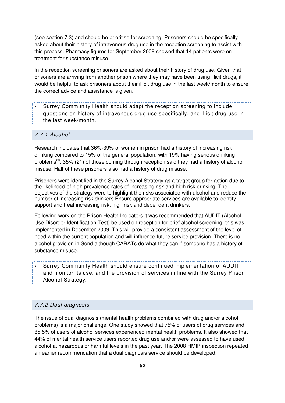(see section 7.3) and should be prioritise for screening. Prisoners should be specifically asked about their history of intravenous drug use in the reception screening to assist with this process. Pharmacy figures for September 2009 showed that 14 patients were on treatment for substance misuse.

In the reception screening prisoners are asked about their history of drug use. Given that prisoners are arriving from another prison where they may have been using illicit drugs, it would be helpful to ask prisoners about their illicit drug use in the last week/month to ensure the correct advice and assistance is given.

• Surrey Community Health should adapt the reception screening to include questions on history of intravenous drug use specifically, and illicit drug use in the last week/month.

## 7.7.1 Alcohol

Research indicates that 36%-39% of women in prison had a history of increasing risk drinking compared to 15% of the general population, with 19% having serious drinking problems<sup>20</sup>. 35% (21) of those coming through reception said they had a history of alcohol misuse. Half of these prisoners also had a history of drug misuse.

Prisoners were identified in the Surrey Alcohol Strategy as a target group for action due to the likelihood of high prevalence rates of increasing risk and high risk drinking. The objectives of the strategy were to highlight the risks associated with alcohol and reduce the number of increasing risk drinkers Ensure appropriate services are available to identify, support and treat increasing risk, high risk and dependent drinkers.

Following work on the Prison Health Indicators it was recommended that AUDIT (Alcohol Use Disorder Identification Test) be used on reception for brief alcohol screening, this was implemented in December 2009. This will provide a consistent assessment of the level of need within the current population and will influence future service provision. There is no alcohol provision in Send although CARATs do what they can if someone has a history of substance misuse.

• Surrey Community Health should ensure continued implementation of AUDIT and monitor its use, and the provision of services in line with the Surrey Prison Alcohol Strategy.

# 7.7.2 Dual diagnosis

The issue of dual diagnosis (mental health problems combined with drug and/or alcohol problems) is a major challenge. One study showed that 75% of users of drug services and 85.5% of users of alcohol services experienced mental health problems. It also showed that 44% of mental health service users reported drug use and/or were assessed to have used alcohol at hazardous or harmful levels in the past year. The 2008 HMIP inspection repeated an earlier recommendation that a dual diagnosis service should be developed.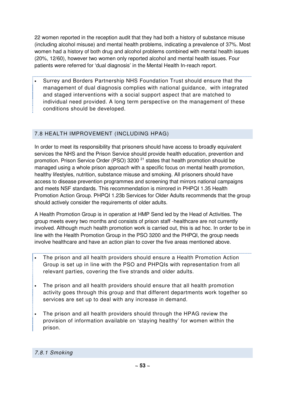22 women reported in the reception audit that they had both a history of substance misuse (including alcohol misuse) and mental health problems, indicating a prevalence of 37%. Most women had a history of both drug and alcohol problems combined with mental health issues (20%, 12/60), however two women only reported alcohol and mental health issues. Four patients were referred for 'dual diagnosis' in the Mental Health In-reach report.

• Surrey and Borders Partnership NHS Foundation Trust should ensure that the management of dual diagnosis complies with national guidance, with integrated and staged interventions with a social support aspect that are matched to individual need provided. A long term perspective on the management of these conditions should be developed.

# 7.8 HEALTH IMPROVEMENT (INCLUDING HPAG)

In order to meet its responsibility that prisoners should have access to broadly equivalent services the NHS and the Prison Service should provide health education, prevention and promotion. Prison Service Order (PSO)  $3200<sup>21</sup>$  states that health promotion should be managed using a whole prison approach with a specific focus on mental health promotion, healthy lifestyles, nutrition, substance misuse and smoking. All prisoners should have access to disease prevention programmes and screening that mirrors national campaigns and meets NSF standards. This recommendation is mirrored in PHPQI 1.35 Health Promotion Action Group. PHPQI 1.23b Services for Older Adults recommends that the group should actively consider the requirements of older adults.

A Health Promotion Group is in operation at HMP Send led by the Head of Activities. The group meets every two months and consists of prison staff -healthcare are not currently involved. Although much health promotion work is carried out, this is ad hoc. In order to be in line with the Health Promotion Group in the PSO 3200 and the PHPQI, the group needs involve healthcare and have an action plan to cover the five areas mentioned above.

- The prison and all health providers should ensure a Health Promotion Action Group is set up in line with the PSO and PHPQIs with representation from all relevant parties, covering the five strands and older adults.
- The prison and all health providers should ensure that all health promotion activity goes through this group and that different departments work together so services are set up to deal with any increase in demand.
- The prison and all health providers should through the HPAG review the provision of information available on 'staying healthy' for women within the prison.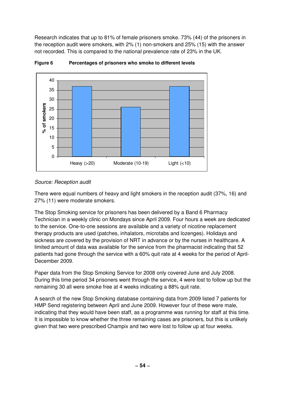Research indicates that up to 81% of female prisoners smoke. 73% (44) of the prisoners in the reception audit were smokers, with 2% (1) non-smokers and 25% (15) with the answer not recorded. This is compared to the national prevalence rate of 23% in the UK.



**Figure 6 Percentages of prisoners who smoke to different levels** 

## Source: Reception audit

There were equal numbers of heavy and light smokers in the reception audit (37%, 16) and 27% (11) were moderate smokers.

The Stop Smoking service for prisoners has been delivered by a Band 6 Pharmacy Technician in a weekly clinic on Mondays since April 2009. Four hours a week are dedicated to the service. One-to-one sessions are available and a variety of nicotine replacement therapy products are used (patches, inhalators, microtabs and lozenges). Holidays and sickness are covered by the provision of NRT in advance or by the nurses in healthcare. A limited amount of data was available for the service from the pharmacist indicating that 52 patients had gone through the service with a 60% quit rate at 4 weeks for the period of April-December 2009.

Paper data from the Stop Smoking Service for 2008 only covered June and July 2008. During this time period 34 prisoners went through the service, 4 were lost to follow up but the remaining 30 all were smoke free at 4 weeks indicating a 88% quit rate.

A search of the new Stop Smoking database containing data from 2009 listed 7 patients for HMP Send registering between April and June 2009. However four of these were male, indicating that they would have been staff, as a programme was running for staff at this time. It is impossible to know whether the three remaining cases are prisoners, but this is unlikely given that two were prescribed Champix and two were lost to follow up at four weeks.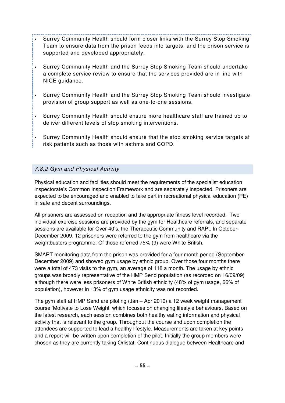- Surrey Community Health should form closer links with the Surrey Stop Smoking Team to ensure data from the prison feeds into targets, and the prison service is supported and developed appropriately.
- Surrey Community Health and the Surrey Stop Smoking Team should undertake a complete service review to ensure that the services provided are in line with NICE guidance.
- Surrey Community Health and the Surrey Stop Smoking Team should investigate provision of group support as well as one-to-one sessions.
- Surrey Community Health should ensure more healthcare staff are trained up to deliver different levels of stop smoking interventions.
- Surrey Community Health should ensure that the stop smoking service targets at risk patients such as those with asthma and COPD.

# 7.8.2 Gym and Physical Activity

Physical education and facilities should meet the requirements of the specialist education inspectorate's Common Inspection Framework and are separately inspected. Prisoners are expected to be encouraged and enabled to take part in recreational physical education (PE) in safe and decent surroundings.

All prisoners are assessed on reception and the appropriate fitness level recorded. Two individual exercise sessions are provided by the gym for Healthcare referrals, and separate sessions are available for Over 40's, the Therapeutic Community and RAPt. In October-December 2009, 12 prisoners were referred to the gym from healthcare via the weightbusters programme. Of those referred 75% (9) were White British.

SMART monitoring data from the prison was provided for a four month period (September-December 2009) and showed gym usage by ethnic group. Over those four months there were a total of 473 visits to the gym, an average of 118 a month. The usage by ethnic groups was broadly representative of the HMP Send population (as recorded on 16/09/09) although there were less prisoners of White British ethnicity (48% of gym usage, 66% of population), however in 13% of gym usage ethnicity was not recorded.

The gym staff at HMP Send are piloting (Jan – Apr 2010) a 12 week weight management course 'Motivate to Lose Weight' which focuses on changing lifestyle behaviours. Based on the latest research, each session combines both healthy eating information and physical activity that is relevant to the group. Throughout the course and upon completion the attendees are supported to lead a healthy lifestyle. Measurements are taken at key points and a report will be written upon completion of the pilot. Initially the group members were chosen as they are currently taking Orlistat. Continuous dialogue between Healthcare and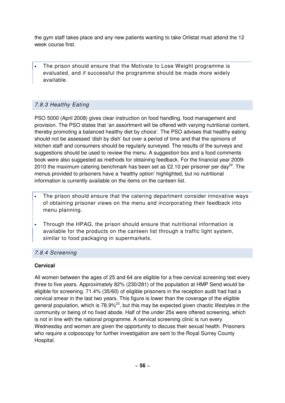the gym staff takes place and any new patients wanting to take Orlistat must attend the 12 week course first.

• The prison should ensure that the Motivate to Lose Weight programme is evaluated, and if successful the programme should be made more widely available.

# 7.8.3 Healthy Eating

PSO 5000 (April 2008) gives clear instruction on food handling, food management and provision. The PSO states that 'an assortment will be offered with varying nutritional content, thereby promoting a balanced healthy diet by choice'. The PSO advises that healthy eating should not be assessed 'dish by dish' but over a period of time and that the opinions of kitchen staff and consumers should be regularly surveyed. The results of the surveys and suggestions should be used to review the menu. A suggestion box and a food comments book were also suggested as methods for obtaining feedback. For the financial year 2009- 2010 the maximum catering benchmark has been set as £2.10 per prisoner per day<sup>22</sup>. The menus provided to prisoners have a 'healthy option' highlighted, but no nutritional information is currently available on the items on the canteen list.

- The prison should ensure that the catering department consider innovative ways of obtaining prisoner views on the menu and incorporating their feedback into menu planning.
- Through the HPAG, the prison should ensure that nutritional information is available for the products on the canteen list through a traffic light system, similar to food packaging in supermarkets.

# 7.8.4 Screening

# **Cervical**

All women between the ages of 25 and 64 are eligible for a free cervical screening test every three to five years. Approximately 82% (230/281) of the population at HMP Send would be eligible for screening. 71.4% (35/60) of eligible prisoners in the reception audit had had a cervical smear in the last two years. This figure is lower than the coverage of the eligible general population, which is  $78.9\%^{23}$ , but this may be expected given chaotic lifestyles in the community or being of no fixed abode. Half of the under 25s were offered screening, which is not in line with the national programme. A cervical screening clinic is run every Wednesday and women are given the opportunity to discuss their sexual health. Prisoners who require a colposcopy for further investigation are sent to the Royal Surrey County Hospital.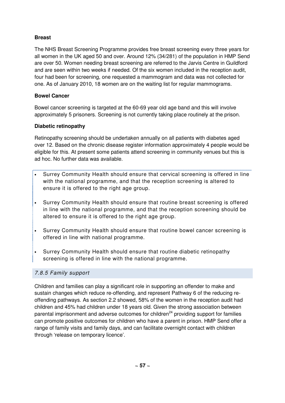# **Breast**

The NHS Breast Screening Programme provides free breast screening every three years for all women in the UK aged 50 and over. Around 12% (34/281) of the population in HMP Send are over 50. Women needing breast screening are referred to the Jarvis Centre in Guildford and are seen within two weeks if needed. Of the six women included in the reception audit, four had been for screening, one requested a mammogram and data was not collected for one. As of January 2010, 18 women are on the waiting list for regular mammograms.

# **Bowel Cancer**

Bowel cancer screening is targeted at the 60-69 year old age band and this will involve approximately 5 prisoners. Screening is not currently taking place routinely at the prison.

## **Diabetic retinopathy**

Retinopathy screening should be undertaken annually on all patients with diabetes aged over 12. Based on the chronic disease register information approximately 4 people would be eligible for this. At present some patients attend screening in community venues but this is ad hoc. No further data was available.

- Surrey Community Health should ensure that cervical screening is offered in line with the national programme, and that the reception screening is altered to ensure it is offered to the right age group.
- Surrey Community Health should ensure that routine breast screening is offered in line with the national programme, and that the reception screening should be altered to ensure it is offered to the right age group.
- Surrey Community Health should ensure that routine bowel cancer screening is offered in line with national programme.
- Surrey Community Health should ensure that routine diabetic retinopathy screening is offered in line with the national programme.

## 7.8.5 Family support

Children and families can play a significant role in supporting an offender to make and sustain changes which reduce re-offending, and represent Pathway 6 of the reducing reoffending pathways. As section 2.2 showed, 58% of the women in the reception audit had children and 45% had children under 18 years old. Given the strong association between parental imprisonment and adverse outcomes for children $^{24}$  providing support for families can promote positive outcomes for children who have a parent in prison. HMP Send offer a range of family visits and family days, and can facilitate overnight contact with children through 'release on temporary licence'.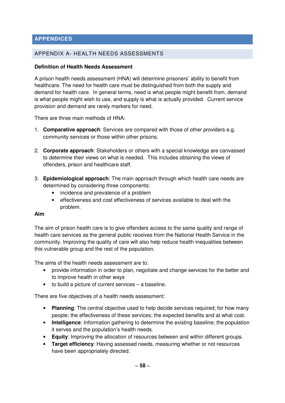# **APPENDICES**

## APPENDIX A- HEALTH NEEDS ASSESSMENTS

## **Definition of Health Needs Assessment**

A prison health needs assessment (HNA) will determine prisoners' ability to benefit from healthcare. The need for health care must be distinguished from both the supply and demand for health care. In general terms, need is what people might benefit from, demand is what people might wish to use, and supply is what is actually provided. Current service provision and demand are rarely markers for need.

There are three main methods of HNA:

- 1. **Comparative approach**: Services are compared with those of other providers e.g. community services or those within other prisons.
- 2. **Corporate approach**: Stakeholders or others with a special knowledge are canvassed to determine their views on what is needed. This includes obtaining the views of offenders, prison and healthcare staff.
- 3. **Epidemiological approach**: The main approach through which health care needs are determined by considering three components:
	- incidence and prevalence of a problem
	- effectiveness and cost effectiveness of services available to deal with the problem.

## **Aim**

The aim of prison health care is to give offenders access to the same quality and range of health care services as the general public receives from the National Health Service in the community. Improving the quality of care will also help reduce health inequalities between this vulnerable group and the rest of the population.

The aims of the health needs assessment are to:

- provide information in order to plan, negotiate and change services for the better and to improve health in other ways
- to build a picture of current services a baseline.

There are five objectives of a health needs assessment:

- **Planning**: The central objective used to help decide services required; for how many people; the effectiveness of these services; the expected benefits and at what cost.
- **Intelligence**: Information gathering to determine the existing baseline; the population it serves and the population's health needs.
- **Equity**: Improving the allocation of resources between and within different groups.
- **Target efficiency**: Having assessed needs, measuring whether or not resources have been appropriately directed.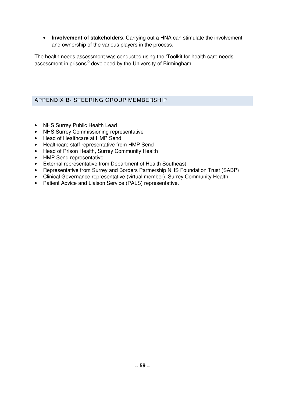• **Involvement of stakeholders**: Carrying out a HNA can stimulate the involvement and ownership of the various players in the process.

The health needs assessment was conducted using the 'Toolkit for health care needs assessment in prisons<sup>2</sup> developed by the University of Birmingham.

# APPENDIX B- STEERING GROUP MEMBERSHIP

- NHS Surrey Public Health Lead
- NHS Surrey Commissioning representative
- Head of Healthcare at HMP Send
- Healthcare staff representative from HMP Send
- Head of Prison Health, Surrey Community Health
- HMP Send representative
- External representative from Department of Health Southeast
- Representative from Surrey and Borders Partnership NHS Foundation Trust (SABP)
- Clinical Governance representative (virtual member), Surrey Community Health
- Patient Advice and Liaison Service (PALS) representative.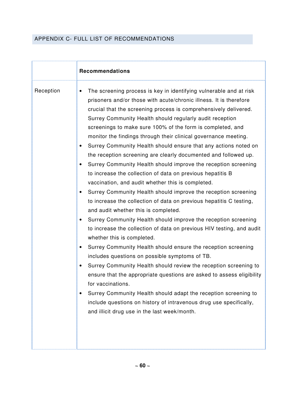# APPENDIX C- FULL LIST OF RECOMMENDATIONS

|           | <b>Recommendations</b>                                                                                                                                                                                                                                                                                                                                                                                                                                                                                                                                                                                                                                                                                                                                                                                                                                                                                                                                                                                                                                                                                                                                                                                                                                                                                                                                                                                                                                                                                                                                                                    |
|-----------|-------------------------------------------------------------------------------------------------------------------------------------------------------------------------------------------------------------------------------------------------------------------------------------------------------------------------------------------------------------------------------------------------------------------------------------------------------------------------------------------------------------------------------------------------------------------------------------------------------------------------------------------------------------------------------------------------------------------------------------------------------------------------------------------------------------------------------------------------------------------------------------------------------------------------------------------------------------------------------------------------------------------------------------------------------------------------------------------------------------------------------------------------------------------------------------------------------------------------------------------------------------------------------------------------------------------------------------------------------------------------------------------------------------------------------------------------------------------------------------------------------------------------------------------------------------------------------------------|
| Reception | The screening process is key in identifying vulnerable and at risk<br>$\bullet$<br>prisoners and/or those with acute/chronic illness. It is therefore<br>crucial that the screening process is comprehensively delivered.<br>Surrey Community Health should regularly audit reception<br>screenings to make sure 100% of the form is completed, and<br>monitor the findings through their clinical governance meeting.<br>Surrey Community Health should ensure that any actions noted on<br>the reception screening are clearly documented and followed up.<br>Surrey Community Health should improve the reception screening<br>to increase the collection of data on previous hepatitis B<br>vaccination, and audit whether this is completed.<br>Surrey Community Health should improve the reception screening<br>to increase the collection of data on previous hepatitis C testing,<br>and audit whether this is completed.<br>Surrey Community Health should improve the reception screening<br>to increase the collection of data on previous HIV testing, and audit<br>whether this is completed.<br>Surrey Community Health should ensure the reception screening<br>includes questions on possible symptoms of TB.<br>Surrey Community Health should review the reception screening to<br>ensure that the appropriate questions are asked to assess eligibility<br>for vaccinations.<br>Surrey Community Health should adapt the reception screening to<br>include questions on history of intravenous drug use specifically,<br>and illicit drug use in the last week/month. |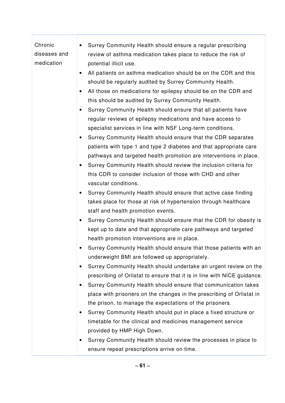## Chronic diseases and • Surrey Community Health should ensure a regular prescribing review of asthma medication takes place to reduce the risk of

potential illicit use.

medication

- All patients on asthma medication should be on the CDR and this should be regularly audited by Surrey Community Health.
- All those on medications for epilepsy should be on the CDR and this should be audited by Surrey Community Health.
- Surrey Community Health should ensure that all patients have regular reviews of epilepsy medications and have access to specialist services in line with NSF Long-term conditions.
- Surrey Community Health should ensure that the CDR separates patients with type 1 and type 2 diabetes and that appropriate care pathways and targeted health promotion are interventions in place.
- Surrey Community Health should review the inclusion criteria for this CDR to consider inclusion of those with CHD and other vascular conditions.
- Surrey Community Health should ensure that active case finding takes place for those at risk of hypertension through healthcare staff and health promotion events.
- Surrey Community Health should ensure that the CDR for obesity is kept up to date and that appropriate care pathways and targeted health promotion interventions are in place.
- Surrey Community Health should ensure that those patients with an underweight BMI are followed up appropriately.
- Surrey Community Health should undertake an urgent review on the prescribing of Orlistat to ensure that it is in line with NICE guidance.
- Surrey Community Health should ensure that communication takes place with prisoners on the changes in the prescribing of Orlistat in the prison, to manage the expectations of the prisoners.
- Surrey Community Health should put in place a fixed structure or timetable for the clinical and medicines management service provided by HMP High Down.
- Surrey Community Health should review the processes in place to ensure repeat prescriptions arrive on time.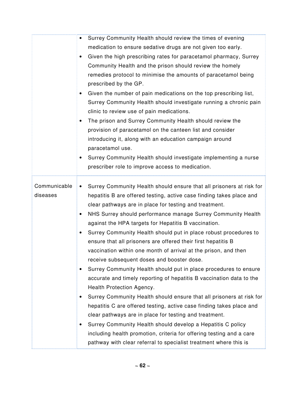|                          | Surrey Community Health should review the times of evening<br>medication to ensure sedative drugs are not given too early.<br>Given the high prescribing rates for paracetamol pharmacy, Surrey<br>٠<br>Community Health and the prison should review the homely<br>remedies protocol to minimise the amounts of paracetamol being<br>prescribed by the GP.<br>Given the number of pain medications on the top prescribing list,<br>$\bullet$<br>Surrey Community Health should investigate running a chronic pain<br>clinic to review use of pain medications.<br>The prison and Surrey Community Health should review the<br>provision of paracetamol on the canteen list and consider<br>introducing it, along with an education campaign around                                                                                                                                                                                                                                                                                                                                                                                                                                              |
|--------------------------|--------------------------------------------------------------------------------------------------------------------------------------------------------------------------------------------------------------------------------------------------------------------------------------------------------------------------------------------------------------------------------------------------------------------------------------------------------------------------------------------------------------------------------------------------------------------------------------------------------------------------------------------------------------------------------------------------------------------------------------------------------------------------------------------------------------------------------------------------------------------------------------------------------------------------------------------------------------------------------------------------------------------------------------------------------------------------------------------------------------------------------------------------------------------------------------------------|
|                          | paracetamol use.<br>Surrey Community Health should investigate implementing a nurse<br>prescriber role to improve access to medication.                                                                                                                                                                                                                                                                                                                                                                                                                                                                                                                                                                                                                                                                                                                                                                                                                                                                                                                                                                                                                                                          |
| Communicable<br>diseases | Surrey Community Health should ensure that all prisoners at risk for<br>$\bullet$<br>hepatitis B are offered testing, active case finding takes place and<br>clear pathways are in place for testing and treatment.<br>NHS Surrey should performance manage Surrey Community Health<br>against the HPA targets for Hepatitis B vaccination.<br>Surrey Community Health should put in place robust procedures to<br>ensure that all prisoners are offered their first hepatitis B<br>vaccination within one month of arrival at the prison, and then<br>receive subsequent doses and booster dose.<br>Surrey Community Health should put in place procedures to ensure<br>accurate and timely reporting of hepatitis B vaccination data to the<br>Health Protection Agency.<br>Surrey Community Health should ensure that all prisoners at risk for<br>hepatitis C are offered testing, active case finding takes place and<br>clear pathways are in place for testing and treatment.<br>Surrey Community Health should develop a Hepatitis C policy<br>including health promotion, criteria for offering testing and a care<br>pathway with clear referral to specialist treatment where this is |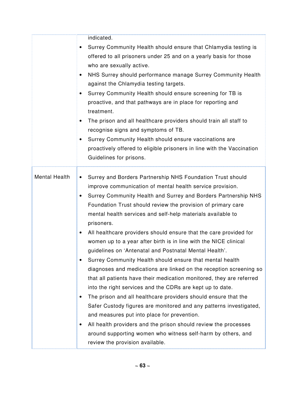|                      | indicated.<br>Surrey Community Health should ensure that Chlamydia testing is<br>offered to all prisoners under 25 and on a yearly basis for those<br>who are sexually active.<br>NHS Surrey should performance manage Surrey Community Health<br>٠<br>against the Chlamydia testing targets.<br>Surrey Community Health should ensure screening for TB is<br>proactive, and that pathways are in place for reporting and<br>treatment.<br>The prison and all healthcare providers should train all staff to<br>recognise signs and symptoms of TB.<br>Surrey Community Health should ensure vaccinations are<br>$\bullet$<br>proactively offered to eligible prisoners in line with the Vaccination<br>Guidelines for prisons.                                                                                                                                                                                                                                                                                                                                                                                                                                                                         |
|----------------------|---------------------------------------------------------------------------------------------------------------------------------------------------------------------------------------------------------------------------------------------------------------------------------------------------------------------------------------------------------------------------------------------------------------------------------------------------------------------------------------------------------------------------------------------------------------------------------------------------------------------------------------------------------------------------------------------------------------------------------------------------------------------------------------------------------------------------------------------------------------------------------------------------------------------------------------------------------------------------------------------------------------------------------------------------------------------------------------------------------------------------------------------------------------------------------------------------------|
| <b>Mental Health</b> | Surrey and Borders Partnership NHS Foundation Trust should<br>$\bullet$<br>improve communication of mental health service provision.<br>Surrey Community Health and Surrey and Borders Partnership NHS<br>Foundation Trust should review the provision of primary care<br>mental health services and self-help materials available to<br>prisoners.<br>All healthcare providers should ensure that the care provided for<br>women up to a year after birth is in line with the NICE clinical<br>guidelines on 'Antenatal and Postnatal Mental Health'.<br>Surrey Community Health should ensure that mental health<br>$\bullet$<br>diagnoses and medications are linked on the reception screening so<br>that all patients have their medication monitored, they are referred<br>into the right services and the CDRs are kept up to date.<br>The prison and all healthcare providers should ensure that the<br>Safer Custody figures are monitored and any patterns investigated,<br>and measures put into place for prevention.<br>All health providers and the prison should review the processes<br>around supporting women who witness self-harm by others, and<br>review the provision available. |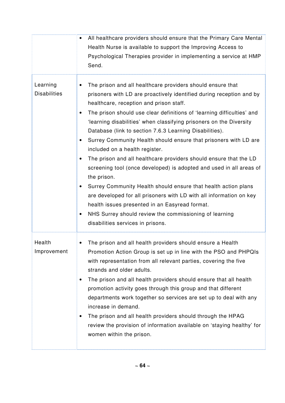|                                 | All healthcare providers should ensure that the Primary Care Mental<br>Health Nurse is available to support the Improving Access to<br>Psychological Therapies provider in implementing a service at HMP<br>Send.                                                                                                                                                                                                                                                                                                                                                                                                                                                                                                                                                                                                                                                                                                                                    |
|---------------------------------|------------------------------------------------------------------------------------------------------------------------------------------------------------------------------------------------------------------------------------------------------------------------------------------------------------------------------------------------------------------------------------------------------------------------------------------------------------------------------------------------------------------------------------------------------------------------------------------------------------------------------------------------------------------------------------------------------------------------------------------------------------------------------------------------------------------------------------------------------------------------------------------------------------------------------------------------------|
| Learning<br><b>Disabilities</b> | The prison and all healthcare providers should ensure that<br>prisoners with LD are proactively identified during reception and by<br>healthcare, reception and prison staff.<br>The prison should use clear definitions of 'learning difficulties' and<br>'learning disabilities' when classifying prisoners on the Diversity<br>Database (link to section 7.6.3 Learning Disabilities).<br>Surrey Community Health should ensure that prisoners with LD are<br>included on a health register.<br>The prison and all healthcare providers should ensure that the LD<br>screening tool (once developed) is adopted and used in all areas of<br>the prison.<br>Surrey Community Health should ensure that health action plans<br>are developed for all prisoners with LD with all information on key<br>health issues presented in an Easyread format.<br>NHS Surrey should review the commissioning of learning<br>disabilities services in prisons. |
| Health<br>Improvement           | The prison and all health providers should ensure a Health<br>Promotion Action Group is set up in line with the PSO and PHPQIs<br>with representation from all relevant parties, covering the five<br>strands and older adults.<br>The prison and all health providers should ensure that all health<br>promotion activity goes through this group and that different<br>departments work together so services are set up to deal with any<br>increase in demand.<br>The prison and all health providers should through the HPAG<br>review the provision of information available on 'staying healthy' for<br>women within the prison.                                                                                                                                                                                                                                                                                                               |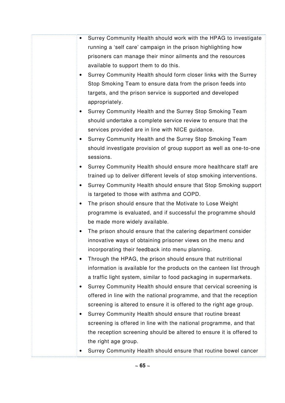- Surrey Community Health should work with the HPAG to investigate running a 'self care' campaign in the prison highlighting how prisoners can manage their minor ailments and the resources available to support them to do this.
- Surrey Community Health should form closer links with the Surrey Stop Smoking Team to ensure data from the prison feeds into targets, and the prison service is supported and developed appropriately.
- Surrey Community Health and the Surrey Stop Smoking Team should undertake a complete service review to ensure that the services provided are in line with NICE guidance.
- Surrey Community Health and the Surrey Stop Smoking Team should investigate provision of group support as well as one-to-one sessions.
- Surrey Community Health should ensure more healthcare staff are trained up to deliver different levels of stop smoking interventions.
- Surrey Community Health should ensure that Stop Smoking support is targeted to those with asthma and COPD.
- The prison should ensure that the Motivate to Lose Weight programme is evaluated, and if successful the programme should be made more widely available.
- The prison should ensure that the catering department consider innovative ways of obtaining prisoner views on the menu and incorporating their feedback into menu planning.
- Through the HPAG, the prison should ensure that nutritional information is available for the products on the canteen list through a traffic light system, similar to food packaging in supermarkets.
- Surrey Community Health should ensure that cervical screening is offered in line with the national programme, and that the reception screening is altered to ensure it is offered to the right age group.
- Surrey Community Health should ensure that routine breast screening is offered in line with the national programme, and that the reception screening should be altered to ensure it is offered to the right age group.
- Surrey Community Health should ensure that routine bowel cancer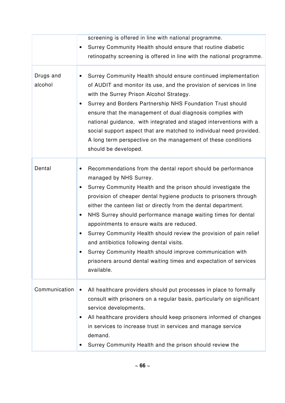|                      | screening is offered in line with national programme.<br>Surrey Community Health should ensure that routine diabetic<br>retinopathy screening is offered in line with the national programme.                                                                                                                                                                                                                                                                                                                                                                                                                                                                                        |
|----------------------|--------------------------------------------------------------------------------------------------------------------------------------------------------------------------------------------------------------------------------------------------------------------------------------------------------------------------------------------------------------------------------------------------------------------------------------------------------------------------------------------------------------------------------------------------------------------------------------------------------------------------------------------------------------------------------------|
| Drugs and<br>alcohol | Surrey Community Health should ensure continued implementation<br>of AUDIT and monitor its use, and the provision of services in line<br>with the Surrey Prison Alcohol Strategy.<br>Surrey and Borders Partnership NHS Foundation Trust should<br>ensure that the management of dual diagnosis complies with<br>national guidance, with integrated and staged interventions with a<br>social support aspect that are matched to individual need provided.<br>A long term perspective on the management of these conditions<br>should be developed.                                                                                                                                  |
| Dental               | Recommendations from the dental report should be performance<br>managed by NHS Surrey.<br>Surrey Community Health and the prison should investigate the<br>provision of cheaper dental hygiene products to prisoners through<br>either the canteen list or directly from the dental department.<br>NHS Surrey should performance manage waiting times for dental<br>٠<br>appointments to ensure waits are reduced.<br>Surrey Community Health should review the provision of pain relief<br>and antibiotics following dental visits.<br>Surrey Community Health should improve communication with<br>prisoners around dental waiting times and expectation of services<br>available. |
| Communication        | All healthcare providers should put processes in place to formally<br>consult with prisoners on a regular basis, particularly on significant<br>service developments.<br>All healthcare providers should keep prisoners informed of changes<br>٠<br>in services to increase trust in services and manage service<br>demand.<br>Surrey Community Health and the prison should review the                                                                                                                                                                                                                                                                                              |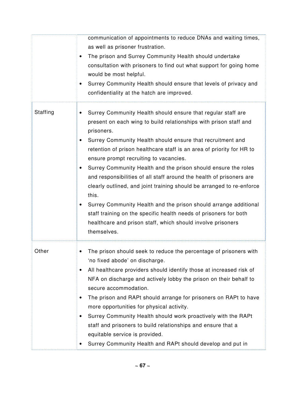|          | communication of appointments to reduce DNAs and waiting times,<br>as well as prisoner frustration.<br>The prison and Surrey Community Health should undertake<br>$\bullet$<br>consultation with prisoners to find out what support for going home<br>would be most helpful.<br>Surrey Community Health should ensure that levels of privacy and<br>confidentiality at the hatch are improved.                                                                                                                                                                                                                                                                                                                                                                                      |
|----------|-------------------------------------------------------------------------------------------------------------------------------------------------------------------------------------------------------------------------------------------------------------------------------------------------------------------------------------------------------------------------------------------------------------------------------------------------------------------------------------------------------------------------------------------------------------------------------------------------------------------------------------------------------------------------------------------------------------------------------------------------------------------------------------|
| Staffing | Surrey Community Health should ensure that regular staff are<br>present on each wing to build relationships with prison staff and<br>prisoners.<br>Surrey Community Health should ensure that recruitment and<br>retention of prison healthcare staff is an area of priority for HR to<br>ensure prompt recruiting to vacancies.<br>Surrey Community Health and the prison should ensure the roles<br>and responsibilities of all staff around the health of prisoners are<br>clearly outlined, and joint training should be arranged to re-enforce<br>this.<br>Surrey Community Health and the prison should arrange additional<br>staff training on the specific health needs of prisoners for both<br>healthcare and prison staff, which should involve prisoners<br>themselves. |
| Other    | The prison should seek to reduce the percentage of prisoners with<br>'no fixed abode' on discharge.<br>All healthcare providers should identify those at increased risk of<br>NFA on discharge and actively lobby the prison on their behalf to<br>secure accommodation.<br>The prison and RAPt should arrange for prisoners on RAPt to have<br>more opportunities for physical activity.<br>Surrey Community Health should work proactively with the RAPt<br>٠<br>staff and prisoners to build relationships and ensure that a<br>equitable service is provided.<br>Surrey Community Health and RAPt should develop and put in                                                                                                                                                     |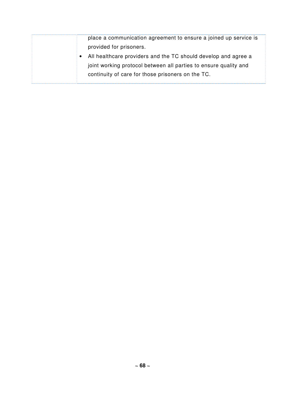place a communication agreement to ensure a joined up service is provided for prisoners. • All healthcare providers and the TC should develop and agree a joint working protocol between all parties to ensure quality and

continuity of care for those prisoners on the TC.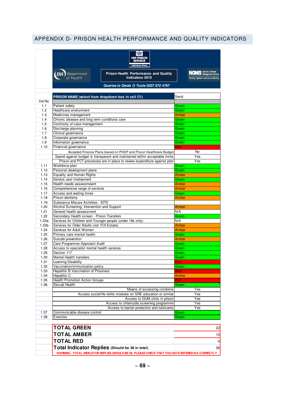# APPENDIX D- PRISON HEALTH PERFORMANCE AND QUALITY INDICATORS

| <b>HM PRISON</b><br><b>SERVICE</b><br><b>Public Sector Prise</b>                                               |                                                                          |  |  |  |
|----------------------------------------------------------------------------------------------------------------|--------------------------------------------------------------------------|--|--|--|
| <b>Prison Health Performance and Quality</b><br><b>DH</b><br>Department<br>of Health<br><b>Indicators 2010</b> | <b>NOMS</b> National Offender<br>Working together to reduce re-offending |  |  |  |
| Queries to Derek O Toole 0207 972 4767                                                                         |                                                                          |  |  |  |
| PRISON NAME (select from dropdown box in cell C1)                                                              | Send                                                                     |  |  |  |
|                                                                                                                |                                                                          |  |  |  |
| Patient safety<br>Healthcare environment                                                                       | Green<br>Green                                                           |  |  |  |
| Medicines management                                                                                           | Amber                                                                    |  |  |  |
| Chronic disease and long term conditions care                                                                  | Green                                                                    |  |  |  |
| Continuity of case management                                                                                  | Green                                                                    |  |  |  |
| Discharge planning                                                                                             | Green                                                                    |  |  |  |
| Clinical governance                                                                                            | Green                                                                    |  |  |  |
| Corporate governance                                                                                           | Green                                                                    |  |  |  |
| Information governance                                                                                         | Green                                                                    |  |  |  |
| Financial governance                                                                                           | Red                                                                      |  |  |  |
| Accepted Finance Plans based on PHDP and Prison Healthcare Budget                                              | <b>No</b>                                                                |  |  |  |
| Spend against budget is transparent and maintained within acceptable limits                                    | Yes                                                                      |  |  |  |
| Prison and PCT processes are in place to review expenditure against plan                                       | Yes                                                                      |  |  |  |
| Workforce plan                                                                                                 | Green                                                                    |  |  |  |
| Personal development plans                                                                                     | Green                                                                    |  |  |  |
| <b>Equality and Human Rights</b>                                                                               | Amber                                                                    |  |  |  |
| Service user involvement                                                                                       | Green                                                                    |  |  |  |
| Health needs assessmewnt                                                                                       | Amber                                                                    |  |  |  |
| Comprehensive range of services                                                                                | Amber                                                                    |  |  |  |
| Access and waiting times<br>Prison dentistry                                                                   | Green<br>Amber                                                           |  |  |  |
| <b>Substance Misuse Activities - IDTS</b>                                                                      |                                                                          |  |  |  |
| Alcohol Screening, Intervention and Support                                                                    | Amber                                                                    |  |  |  |
| General health assessment                                                                                      | N/A                                                                      |  |  |  |
| Secondary Health screen - Prison Transfers                                                                     | Green                                                                    |  |  |  |
| Services for Children and Younger people (under 18s only)                                                      | N/A                                                                      |  |  |  |
| Services for Older Adults (not YOI Estate)                                                                     | Amber                                                                    |  |  |  |
| Services for Adult Women                                                                                       | Amber                                                                    |  |  |  |
| Primary care mental health                                                                                     | Green                                                                    |  |  |  |
| Suicide prevention                                                                                             | Amber                                                                    |  |  |  |
| Care Programme Approach Audit                                                                                  | Green                                                                    |  |  |  |
| Access to specialist mental health services                                                                    | Green                                                                    |  |  |  |
| Section 117                                                                                                    | Green                                                                    |  |  |  |
| Mental Health transfers                                                                                        | Green                                                                    |  |  |  |
| <b>Learning Disability</b><br>Vaccination/immunisation policy                                                  | nea<br>Green                                                             |  |  |  |
| Hepatitis B Vaccination of Prisoners                                                                           | Red                                                                      |  |  |  |
| Hepatitis C                                                                                                    | Amber                                                                    |  |  |  |
| <b>Health Promotion Action Groups</b>                                                                          | Red                                                                      |  |  |  |
| Sexual Health                                                                                                  | Green                                                                    |  |  |  |
| Means of accessing condoms                                                                                     | Yes                                                                      |  |  |  |
| Access social/life skills modules on SRE education or similar                                                  | Yes                                                                      |  |  |  |
| Access to GUM clinic in prison                                                                                 | Yes                                                                      |  |  |  |
| Access to chlamydia screening programme                                                                        | Yes                                                                      |  |  |  |
| Access to barrier protection and lubricants                                                                    | Yes                                                                      |  |  |  |
| Communicable disease control                                                                                   | Green                                                                    |  |  |  |
| Exercise                                                                                                       | Green                                                                    |  |  |  |
| <b>TOTAL GREEN</b>                                                                                             |                                                                          |  |  |  |
| <b>TOTAL AMBER</b>                                                                                             |                                                                          |  |  |  |
|                                                                                                                |                                                                          |  |  |  |
| <b>TOTAL RED</b>                                                                                               |                                                                          |  |  |  |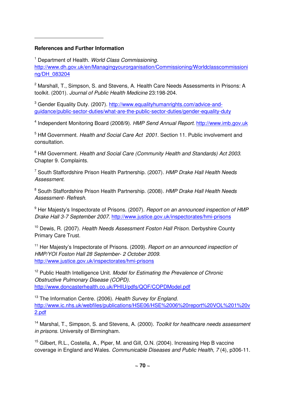## **References and Further Information**

 $\overline{a}$ 

<sup>1</sup> Department of Health. World Class Commissioning. http://www.dh.gov.uk/en/Managingyourorganisation/Commissioning/Worldclasscommissioni ng/DH\_083204

<sup>2</sup> Marshall, T., Simpson, S. and Stevens, A. Health Care Needs Assessments in Prisons: A toolkit. (2001). Journal of Public Health Medicine 23:198-204.

<sup>3</sup> Gender Equality Duty. (2007). http://www.equalityhumanrights.com/advice-andguidance/public-sector-duties/what-are-the-public-sector-duties/gender-equality-duty

<sup>4</sup> Independent Monitoring Board (2008/9). HMP Send Annual Report. http://www.imb.gov.uk

<sup>5</sup> HM Government. Health and Social Care Act 2001. Section 11. Public involvement and consultation.

<sup>6</sup> HM Government. Health and Social Care (Community Health and Standards) Act 2003. Chapter 9. Complaints.

<sup>7</sup> South Staffordshire Prison Health Partnership. (2007). HMP Drake Hall Health Needs Assessment.

<sup>8</sup> South Staffordshire Prison Health Partnership. (2008). HMP Drake Hall Health Needs Assessment- Refresh.

<sup>9</sup> Her Majesty's Inspectorate of Prisons. (2007). Report on an announced inspection of HMP Drake Hall 3-7 September 2007. http://www.justice.gov.uk/inspectorates/hmi-prisons

<sup>10</sup> Dewis, R. (2007). Health Needs Assessment Foston Hall Prison. Derbyshire County Primary Care Trust.

<sup>11</sup> Her Maiesty's Inspectorate of Prisons. (2009). Report on an announced inspection of HMP/YOI Foston Hall 28 September- 2 October 2009. http://www.justice.gov.uk/inspectorates/hmi-prisons

 $12$  Public Health Intelligence Unit. Model for Estimating the Prevalence of Chronic Obstructive Pulmonary Disease (COPD). http://www.doncasterhealth.co.uk/PHIU/pdfs/QOF/COPDModel.pdf

<sup>13</sup> The Information Centre. (2006). Health Survey for England. http://www.ic.nhs.uk/webfiles/publications/HSE06/HSE%2006%20report%20VOL%201%20v 2.pdf

<sup>14</sup> Marshal, T., Simpson, S. and Stevens, A. (2000). Toolkit for healthcare needs assessment in prisons. University of Birmingham.

<sup>15</sup> Gilbert, R.L., Costella, A., Piper, M. and Gill, O.N. (2004). Increasing Hep B vaccine coverage in England and Wales. Communicable Diseases and Public Health, 7 (4), p306-11.